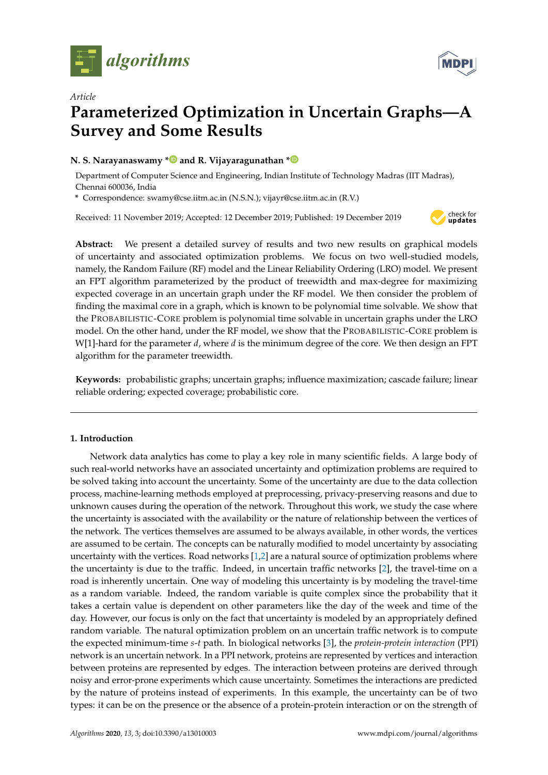



# **Parameterized Optimization in Uncertain Graphs—A Survey and Some Results**

## **N. S. Narayanaswamy \*** and R. Vijayaragunathan \*

Department of Computer Science and Engineering, Indian Institute of Technology Madras (IIT Madras), Chennai 600036, India

**\*** Correspondence: swamy@cse.iitm.ac.in (N.S.N.); vijayr@cse.iitm.ac.in (R.V.)

Received: 11 November 2019; Accepted: 12 December 2019; Published: 19 December 2019 -



**Abstract:** We present a detailed survey of results and two new results on graphical models of uncertainty and associated optimization problems. We focus on two well-studied models, namely, the Random Failure (RF) model and the Linear Reliability Ordering (LRO) model. We present an FPT algorithm parameterized by the product of treewidth and max-degree for maximizing expected coverage in an uncertain graph under the RF model. We then consider the problem of finding the maximal core in a graph, which is known to be polynomial time solvable. We show that the PROBABILISTIC-CORE problem is polynomial time solvable in uncertain graphs under the LRO model. On the other hand, under the RF model, we show that the PROBABILISTIC-CORE problem is W[1]-hard for the parameter *d*, where *d* is the minimum degree of the core. We then design an FPT algorithm for the parameter treewidth.

**Keywords:** probabilistic graphs; uncertain graphs; influence maximization; cascade failure; linear reliable ordering; expected coverage; probabilistic core.

## **1. Introduction**

Network data analytics has come to play a key role in many scientific fields. A large body of such real-world networks have an associated uncertainty and optimization problems are required to be solved taking into account the uncertainty. Some of the uncertainty are due to the data collection process, machine-learning methods employed at preprocessing, privacy-preserving reasons and due to unknown causes during the operation of the network. Throughout this work, we study the case where the uncertainty is associated with the availability or the nature of relationship between the vertices of the network. The vertices themselves are assumed to be always available, in other words, the vertices are assumed to be certain. The concepts can be naturally modified to model uncertainty by associating uncertainty with the vertices. Road networks [1,2] are a natural source of optimization problems where the uncertainty is due to the traffic. Indeed, in uncertain traffic networks [2], the travel-time on a road is inherently uncertain. One way of modeling this uncertainty is by modeling the travel-time as a random variable. Indeed, the random variable is quite complex since the probability that it takes a certain value is dependent on other parameters like the day of the week and time of the day. However, our focus is only on the fact that uncertainty is modeled by an appropriately defined random variable. The natural optimization problem on an uncertain traffic network is to compute the expected minimum-time *s*-*t* path. In biological networks [3], the *protein-protein interaction* (PPI) network is an uncertain network. In a PPI network, proteins are represented by vertices and interaction between proteins are represented by edges. The interaction between proteins are derived through noisy and error-prone experiments which cause uncertainty. Sometimes the interactions are predicted by the nature of proteins instead of experiments. In this example, the uncertainty can be of two types: it can be on the presence or the absence of a protein-protein interaction or on the strength of

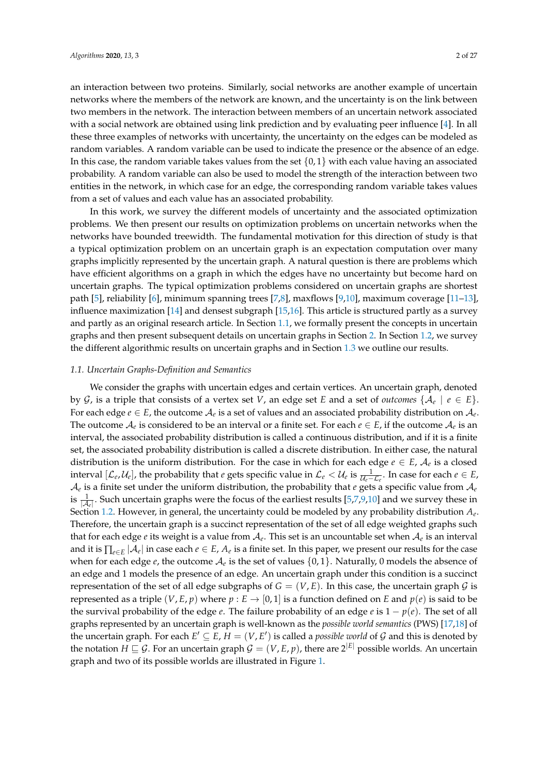an interaction between two proteins. Similarly, social networks are another example of uncertain networks where the members of the network are known, and the uncertainty is on the link between two members in the network. The interaction between members of an uncertain network associated with a social network are obtained using link prediction and by evaluating peer influence [4]. In all these three examples of networks with uncertainty, the uncertainty on the edges can be modeled as random variables. A random variable can be used to indicate the presence or the absence of an edge. In this case, the random variable takes values from the set  $\{0,1\}$  with each value having an associated probability. A random variable can also be used to model the strength of the interaction between two entities in the network, in which case for an edge, the corresponding random variable takes values from a set of values and each value has an associated probability.

In this work, we survey the different models of uncertainty and the associated optimization problems. We then present our results on optimization problems on uncertain networks when the networks have bounded treewidth. The fundamental motivation for this direction of study is that a typical optimization problem on an uncertain graph is an expectation computation over many graphs implicitly represented by the uncertain graph. A natural question is there are problems which have efficient algorithms on a graph in which the edges have no uncertainty but become hard on uncertain graphs. The typical optimization problems considered on uncertain graphs are shortest path [5], reliability [6], minimum spanning trees [7,8], maxflows [9,10], maximum coverage [11–13], influence maximization [14] and densest subgraph [15,16]. This article is structured partly as a survey and partly as an original research article. In Section 1.1, we formally present the concepts in uncertain graphs and then present subsequent details on uncertain graphs in Section 2. In Section 1.2, we survey the different algorithmic results on uncertain graphs and in Section 1.3 we outline our results.

## *1.1. Uncertain Graphs-Definition and Semantics*

We consider the graphs with uncertain edges and certain vertices. An uncertain graph, denoted by  $\mathcal G$ , is a triple that consists of a vertex set  $V$ , an edge set  $E$  and a set of  $outcomes$   $\{\mathcal A_e \mid e \in E\}.$ For each edge  $e \in E$ , the outcome  $\mathcal{A}_e$  is a set of values and an associated probability distribution on  $\mathcal{A}_e$ . The outcome  $\mathcal{A}_e$  is considered to be an interval or a finite set. For each  $e\in E$ , if the outcome  $\mathcal{A}_e$  is an interval, the associated probability distribution is called a continuous distribution, and if it is a finite set, the associated probability distribution is called a discrete distribution. In either case, the natural distribution is the uniform distribution. For the case in which for each edge  $e \in E$ ,  $\mathcal{A}_e$  is a closed interval  $[\mathcal{L}_e, \mathcal{U}_e]$ , the probability that *e* gets specific value in  $\mathcal{L}_e < \mathcal{U}_e$  is  $\frac{1}{\mathcal{U}_e - \mathcal{L}_e}$ . In case for each  $e \in E$ ,  $\mathcal{A}_e$  is a finite set under the uniform distribution, the probability that  $e$  gets a specific value from  $\mathcal{A}_e$ is  $\frac{1}{|\mathcal{A}_e|}$ . Such uncertain graphs were the focus of the earliest results [5,7,9,10] and we survey these in Section 1.2. However, in general, the uncertainty could be modeled by any probability distribution *A<sup>e</sup>* . Therefore, the uncertain graph is a succinct representation of the set of all edge weighted graphs such that for each edge  $e$  its weight is a value from  $\mathcal{A}_e.$  This set is an uncountable set when  $\mathcal{A}_e$  is an interval and it is  $\prod_{e\in E} |\mathcal{A}_e|$  in case each  $e\in E$ ,  $A_e$  is a finite set. In this paper, we present our results for the case when for each edge  $e$ , the outcome  $\mathcal{A}_e$  is the set of values  $\{0,1\}.$  Naturally, 0 models the absence of an edge and 1 models the presence of an edge. An uncertain graph under this condition is a succinct representation of the set of all edge subgraphs of  $G = (V, E)$ . In this case, the uncertain graph  $G$  is represented as a triple  $(V, E, p)$  where  $p : E \to [0, 1]$  is a function defined on *E* and  $p(e)$  is said to be the survival probability of the edge *e*. The failure probability of an edge *e* is  $1 - p(e)$ . The set of all graphs represented by an uncertain graph is well-known as the *possible world semantics* (PWS) [17,18] of the uncertain graph. For each  $E' \subseteq E$ ,  $H = (V, E')$  is called a *possible world* of  $\mathcal G$  and this is denoted by the notation *H*  $\subseteq$  *G*. For an uncertain graph *G* = (*V*, *E*, *p*), there are 2<sup>|*E*|</sup> possible worlds. An uncertain graph and two of its possible worlds are illustrated in Figure 1.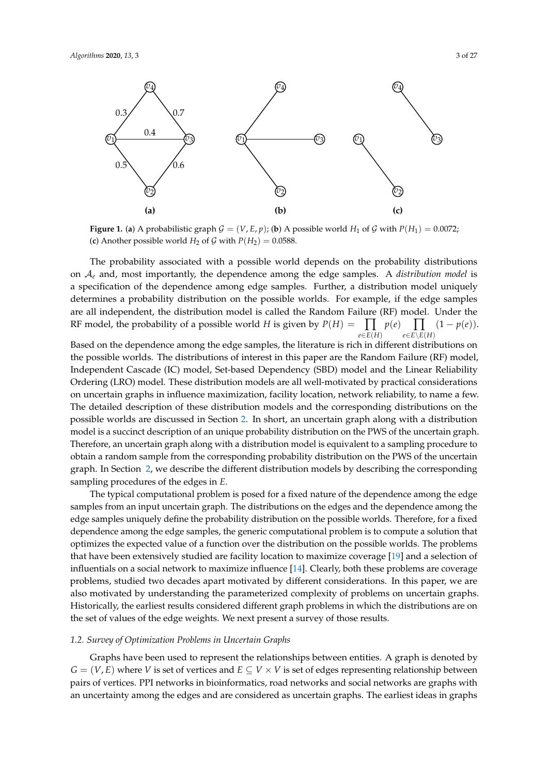

**Figure 1.** (a) A probabilistic graph  $\mathcal{G} = (V, E, p)$ ; (b) A possible world  $H_1$  of  $\mathcal{G}$  with  $P(H_1) = 0.0072$ ; (c) Another possible world  $H_2$  of G with  $P(H_2) = 0.0588$ .

The probability associated with a possible world depends on the probability distributions on A*<sup>e</sup>* and, most importantly, the dependence among the edge samples. A *distribution model* is a specification of the dependence among edge samples. Further, a distribution model uniquely determines a probability distribution on the possible worlds. For example, if the edge samples are all independent, the distribution model is called the Random Failure (RF) model. Under the RF model, the probability of a possible world *H* is given by  $P(H) = \prod p(e) \prod$ *e*∈*E*(*H*)  $e∈E\E(H)$  $(1 - p(e)).$ 

Based on the dependence among the edge samples, the literature is rich in different distributions on the possible worlds. The distributions of interest in this paper are the Random Failure (RF) model, Independent Cascade (IC) model, Set-based Dependency (SBD) model and the Linear Reliability Ordering (LRO) model. These distribution models are all well-motivated by practical considerations on uncertain graphs in influence maximization, facility location, network reliability, to name a few. The detailed description of these distribution models and the corresponding distributions on the possible worlds are discussed in Section 2. In short, an uncertain graph along with a distribution model is a succinct description of an unique probability distribution on the PWS of the uncertain graph. Therefore, an uncertain graph along with a distribution model is equivalent to a sampling procedure to obtain a random sample from the corresponding probability distribution on the PWS of the uncertain graph. In Section 2, we describe the different distribution models by describing the corresponding sampling procedures of the edges in *E*.

The typical computational problem is posed for a fixed nature of the dependence among the edge samples from an input uncertain graph. The distributions on the edges and the dependence among the edge samples uniquely define the probability distribution on the possible worlds. Therefore, for a fixed dependence among the edge samples, the generic computational problem is to compute a solution that optimizes the expected value of a function over the distribution on the possible worlds. The problems that have been extensively studied are facility location to maximize coverage [19] and a selection of influentials on a social network to maximize influence [14]. Clearly, both these problems are coverage problems, studied two decades apart motivated by different considerations. In this paper, we are also motivated by understanding the parameterized complexity of problems on uncertain graphs. Historically, the earliest results considered different graph problems in which the distributions are on the set of values of the edge weights. We next present a survey of those results.

## *1.2. Survey of Optimization Problems in Uncertain Graphs*

Graphs have been used to represent the relationships between entities. A graph is denoted by  $G = (V, E)$  where *V* is set of vertices and  $E \subseteq V \times V$  is set of edges representing relationship between pairs of vertices. PPI networks in bioinformatics, road networks and social networks are graphs with an uncertainty among the edges and are considered as uncertain graphs. The earliest ideas in graphs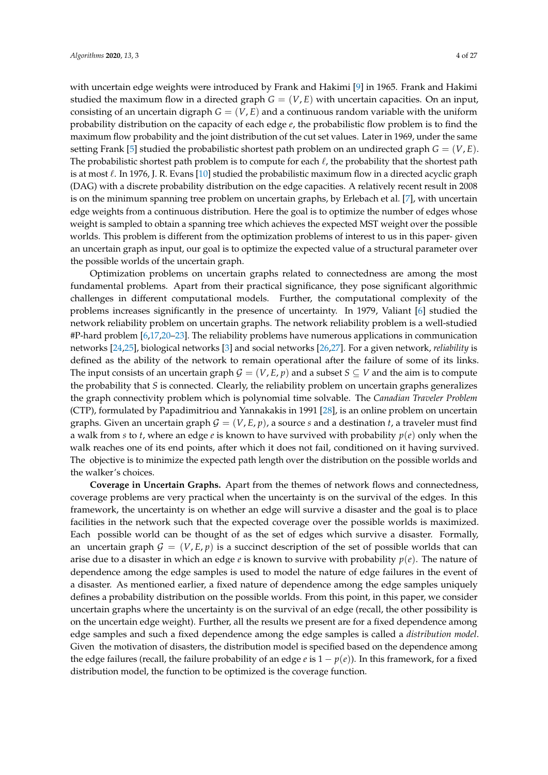with uncertain edge weights were introduced by Frank and Hakimi [9] in 1965. Frank and Hakimi studied the maximum flow in a directed graph  $G = (V, E)$  with uncertain capacities. On an input, consisting of an uncertain digraph  $G = (V, E)$  and a continuous random variable with the uniform probability distribution on the capacity of each edge *e*, the probabilistic flow problem is to find the maximum flow probability and the joint distribution of the cut set values. Later in 1969, under the same setting Frank [5] studied the probabilistic shortest path problem on an undirected graph  $G = (V, E)$ . The probabilistic shortest path problem is to compute for each  $\ell$ , the probability that the shortest path is at most ℓ. In 1976, J. R. Evans [10] studied the probabilistic maximum flow in a directed acyclic graph (DAG) with a discrete probability distribution on the edge capacities. A relatively recent result in 2008 is on the minimum spanning tree problem on uncertain graphs, by Erlebach et al. [7], with uncertain edge weights from a continuous distribution. Here the goal is to optimize the number of edges whose weight is sampled to obtain a spanning tree which achieves the expected MST weight over the possible worlds. This problem is different from the optimization problems of interest to us in this paper- given

an uncertain graph as input, our goal is to optimize the expected value of a structural parameter over

the possible worlds of the uncertain graph. Optimization problems on uncertain graphs related to connectedness are among the most fundamental problems. Apart from their practical significance, they pose significant algorithmic challenges in different computational models. Further, the computational complexity of the problems increases significantly in the presence of uncertainty. In 1979, Valiant [6] studied the network reliability problem on uncertain graphs. The network reliability problem is a well-studied #P-hard problem [6,17,20–23]. The reliability problems have numerous applications in communication networks [24,25], biological networks [3] and social networks [26,27]. For a given network, *reliability* is defined as the ability of the network to remain operational after the failure of some of its links. The input consists of an uncertain graph  $G = (V, E, p)$  and a subset  $S \subseteq V$  and the aim is to compute the probability that *S* is connected. Clearly, the reliability problem on uncertain graphs generalizes the graph connectivity problem which is polynomial time solvable. The *Canadian Traveler Problem* (CTP), formulated by Papadimitriou and Yannakakis in 1991 [28], is an online problem on uncertain graphs. Given an uncertain graph  $G = (V, E, p)$ , a source *s* and a destination *t*, a traveler must find a walk from *s* to *t*, where an edge *e* is known to have survived with probability *p*(*e*) only when the walk reaches one of its end points, after which it does not fail, conditioned on it having survived. The objective is to minimize the expected path length over the distribution on the possible worlds and the walker's choices.

**Coverage in Uncertain Graphs.** Apart from the themes of network flows and connectedness, coverage problems are very practical when the uncertainty is on the survival of the edges. In this framework, the uncertainty is on whether an edge will survive a disaster and the goal is to place facilities in the network such that the expected coverage over the possible worlds is maximized. Each possible world can be thought of as the set of edges which survive a disaster. Formally, an uncertain graph  $G = (V, E, p)$  is a succinct description of the set of possible worlds that can arise due to a disaster in which an edge *e* is known to survive with probability *p*(*e*). The nature of dependence among the edge samples is used to model the nature of edge failures in the event of a disaster. As mentioned earlier, a fixed nature of dependence among the edge samples uniquely defines a probability distribution on the possible worlds. From this point, in this paper, we consider uncertain graphs where the uncertainty is on the survival of an edge (recall, the other possibility is on the uncertain edge weight). Further, all the results we present are for a fixed dependence among edge samples and such a fixed dependence among the edge samples is called a *distribution model*. Given the motivation of disasters, the distribution model is specified based on the dependence among the edge failures (recall, the failure probability of an edge *e* is  $1 - p(e)$ ). In this framework, for a fixed distribution model, the function to be optimized is the coverage function.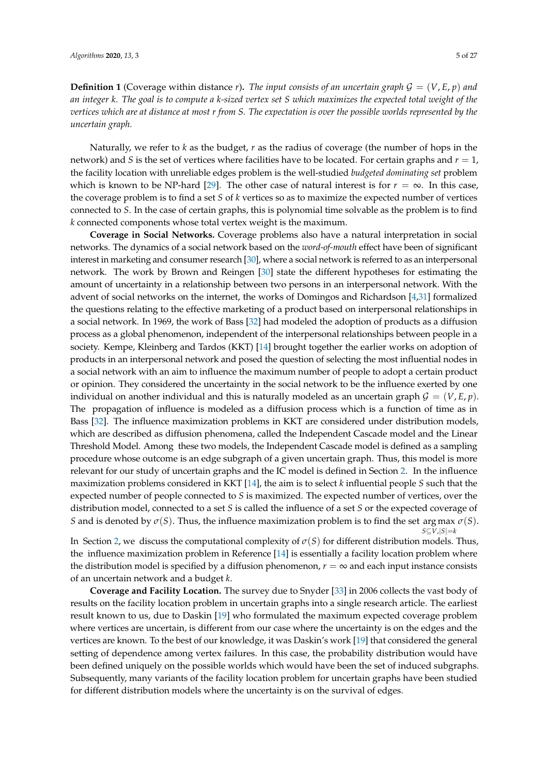**Definition 1** (Coverage within distance *r*). *The input consists of an uncertain graph*  $G = (V, E, p)$  *and an integer k. The goal is to compute a k-sized vertex set S which maximizes the expected total weight of the vertices which are at distance at most r from S. The expectation is over the possible worlds represented by the uncertain graph.*

Naturally, we refer to *k* as the budget, *r* as the radius of coverage (the number of hops in the network) and *S* is the set of vertices where facilities have to be located. For certain graphs and *r* = 1, the facility location with unreliable edges problem is the well-studied *budgeted dominating set* problem which is known to be NP-hard [29]. The other case of natural interest is for  $r = \infty$ . In this case, the coverage problem is to find a set *S* of *k* vertices so as to maximize the expected number of vertices connected to *S*. In the case of certain graphs, this is polynomial time solvable as the problem is to find *k* connected components whose total vertex weight is the maximum.

**Coverage in Social Networks.** Coverage problems also have a natural interpretation in social networks. The dynamics of a social network based on the *word-of-mouth* effect have been of significant interest in marketing and consumer research [30], where a social network is referred to as an interpersonal network. The work by Brown and Reingen [30] state the different hypotheses for estimating the amount of uncertainty in a relationship between two persons in an interpersonal network. With the advent of social networks on the internet, the works of Domingos and Richardson [4,31] formalized the questions relating to the effective marketing of a product based on interpersonal relationships in a social network. In 1969, the work of Bass [32] had modeled the adoption of products as a diffusion process as a global phenomenon, independent of the interpersonal relationships between people in a society. Kempe, Kleinberg and Tardos (KKT) [14] brought together the earlier works on adoption of products in an interpersonal network and posed the question of selecting the most influential nodes in a social network with an aim to influence the maximum number of people to adopt a certain product or opinion. They considered the uncertainty in the social network to be the influence exerted by one individual on another individual and this is naturally modeled as an uncertain graph  $G = (V, E, p)$ . The propagation of influence is modeled as a diffusion process which is a function of time as in Bass [32]. The influence maximization problems in KKT are considered under distribution models, which are described as diffusion phenomena, called the Independent Cascade model and the Linear Threshold Model. Among these two models, the Independent Cascade model is defined as a sampling procedure whose outcome is an edge subgraph of a given uncertain graph. Thus, this model is more relevant for our study of uncertain graphs and the IC model is defined in Section 2. In the influence maximization problems considered in KKT [14], the aim is to select *k* influential people *S* such that the expected number of people connected to *S* is maximized. The expected number of vertices, over the distribution model, connected to a set *S* is called the influence of a set *S* or the expected coverage of *S* and is denoted by  $\sigma(S)$ . Thus, the influence maximization problem is to find the set arg max  $\sigma(S)$ .  $S$ ⊆*V*, $|S|$ = $k$ 

In Section 2, we discuss the computational complexity of  $\sigma(S)$  for different distribution models. Thus, the influence maximization problem in Reference [14] is essentially a facility location problem where the distribution model is specified by a diffusion phenomenon,  $r = \infty$  and each input instance consists of an uncertain network and a budget *k*.

**Coverage and Facility Location.** The survey due to Snyder [33] in 2006 collects the vast body of results on the facility location problem in uncertain graphs into a single research article. The earliest result known to us, due to Daskin [19] who formulated the maximum expected coverage problem where vertices are uncertain, is different from our case where the uncertainty is on the edges and the vertices are known. To the best of our knowledge, it was Daskin's work [19] that considered the general setting of dependence among vertex failures. In this case, the probability distribution would have been defined uniquely on the possible worlds which would have been the set of induced subgraphs. Subsequently, many variants of the facility location problem for uncertain graphs have been studied for different distribution models where the uncertainty is on the survival of edges.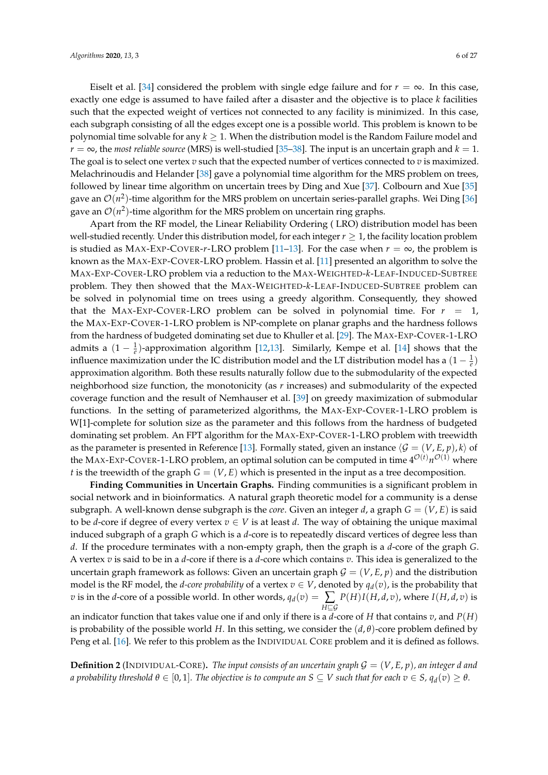Eiselt et al. [34] considered the problem with single edge failure and for  $r = \infty$ . In this case, exactly one edge is assumed to have failed after a disaster and the objective is to place *k* facilities such that the expected weight of vertices not connected to any facility is minimized. In this case, each subgraph consisting of all the edges except one is a possible world. This problem is known to be polynomial time solvable for any  $k \geq 1$ . When the distribution model is the Random Failure model and  $r = \infty$ , the *most reliable source* (MRS) is well-studied [35–38]. The input is an uncertain graph and  $k = 1$ . The goal is to select one vertex *v* such that the expected number of vertices connected to *v* is maximized. Melachrinoudis and Helander [38] gave a polynomial time algorithm for the MRS problem on trees, followed by linear time algorithm on uncertain trees by Ding and Xue [37]. Colbourn and Xue [35] gave an  $\mathcal{O}(n^2)$ -time algorithm for the MRS problem on uncertain series-parallel graphs. Wei Ding [36] gave an  $\mathcal{O}(n^2)$ -time algorithm for the MRS problem on uncertain ring graphs.

Apart from the RF model, the Linear Reliability Ordering ( LRO) distribution model has been well-studied recently. Under this distribution model, for each integer  $r \geq 1$ , the facility location problem is studied as MAX-EXP-COVER- $r$ -LRO problem [11–13]. For the case when  $r = \infty$ , the problem is known as the MAX-EXP-COVER-LRO problem. Hassin et al. [11] presented an algorithm to solve the MAX-EXP-COVER-LRO problem via a reduction to the MAX-WEIGHTED-*k*-LEAF-INDUCED-SUBTREE problem. They then showed that the MAX-WEIGHTED-*k*-LEAF-INDUCED-SUBTREE problem can be solved in polynomial time on trees using a greedy algorithm. Consequently, they showed that the MAX-EXP-COVER-LRO problem can be solved in polynomial time. For  $r = 1$ , the MAX-EXP-COVER-1-LRO problem is NP-complete on planar graphs and the hardness follows from the hardness of budgeted dominating set due to Khuller et al. [29]. The MAX-EXP-COVER-1-LRO admits a  $(1 - \frac{1}{e})$ -approximation algorithm [12,13]. Similarly, Kempe et al. [14] shows that the influence maximization under the IC distribution model and the LT distribution model has a  $(1 - \frac{1}{e})$ approximation algorithm. Both these results naturally follow due to the submodularity of the expected neighborhood size function, the monotonicity (as *r* increases) and submodularity of the expected coverage function and the result of Nemhauser et al. [39] on greedy maximization of submodular functions. In the setting of parameterized algorithms, the MAX-EXP-COVER-1-LRO problem is W[1]-complete for solution size as the parameter and this follows from the hardness of budgeted dominating set problem. An FPT algorithm for the MAX-EXP-COVER-1-LRO problem with treewidth as the parameter is presented in Reference [13]. Formally stated, given an instance  $\langle G = (V, E, p), k \rangle$  of the MAX-EXP-COVER-1-LRO problem, an optimal solution can be computed in time  $4^{\mathcal{O}(t)}n^{\mathcal{O}(1)}$  where *t* is the treewidth of the graph  $G = (V, E)$  which is presented in the input as a tree decomposition.

**Finding Communities in Uncertain Graphs.** Finding communities is a significant problem in social network and in bioinformatics. A natural graph theoretic model for a community is a dense subgraph. A well-known dense subgraph is the *core*. Given an integer *d*, a graph  $G = (V, E)$  is said to be *d*-core if degree of every vertex  $v \in V$  is at least *d*. The way of obtaining the unique maximal induced subgraph of a graph *G* which is a *d*-core is to repeatedly discard vertices of degree less than *d*. If the procedure terminates with a non-empty graph, then the graph is a *d*-core of the graph *G*. A vertex *v* is said to be in a *d*-core if there is a *d*-core which contains *v*. This idea is generalized to the uncertain graph framework as follows: Given an uncertain graph  $\mathcal{G} = (V, E, p)$  and the distribution model is the RF model, the *d-core probability* of a vertex  $v \in V$ , denoted by  $q_d(v)$ , is the probability that *v* is in the *d*-core of a possible world. In other words,  $q_d(v) = \sum$ *H*⊑G  $P(H)I(H, d, v)$ , where  $I(H, d, v)$  is

an indicator function that takes value one if and only if there is a *d*-core of *H* that contains  $v$ , and  $P(H)$ is probability of the possible world *H*. In this setting, we consider the  $(d, \theta)$ -core problem defined by Peng et al. [16]. We refer to this problem as the INDIVIDUAL CORE problem and it is defined as follows.

**Definition 2** (INDIVIDUAL-CORE). The input consists of an uncertain graph  $\mathcal{G} = (V, E, p)$ , an integer *d* and  $a$  probability threshold  $\theta \in [0,1].$  The objective is to compute an  $S \subseteq V$  such that for each  $v \in S$ ,  $q_d(v) \geq \theta.$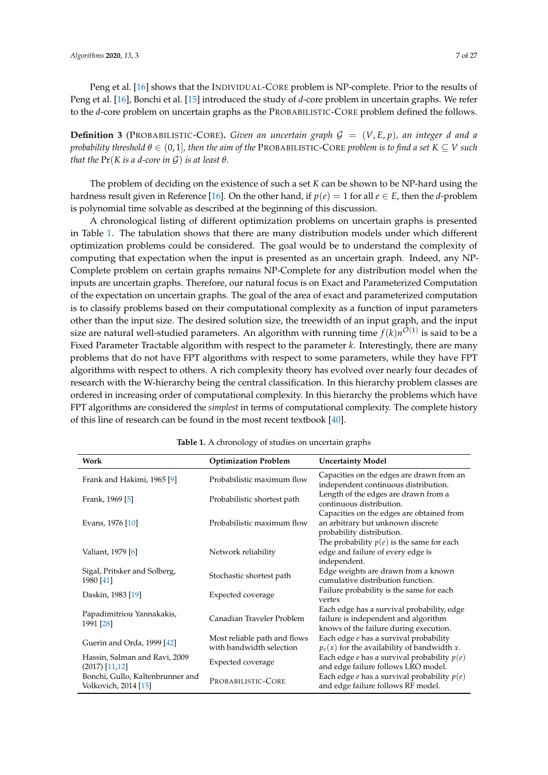Peng et al. [16] shows that the INDIVIDUAL-CORE problem is NP-complete. Prior to the results of Peng et al. [16], Bonchi et al. [15] introduced the study of *d*-core problem in uncertain graphs. We refer to the *d*-core problem on uncertain graphs as the PROBABILISTIC-CORE problem defined the follows.

**Definition 3** (PROBABILISTIC-CORE). Given an uncertain graph  $G = (V, E, p)$ , an integer *d* and *a probability threshold*  $\theta \in (0,1]$ *, then the aim of the* PROBABILISTIC-CORE *problem is to find a set*  $K \subseteq V$  *such that the*  $Pr(K \text{ is a } d\text{-core in } G)$  *is at least*  $\theta$ *.* 

The problem of deciding on the existence of such a set *K* can be shown to be NP-hard using the hardness result given in Reference [16]. On the other hand, if  $p(e) = 1$  for all  $e \in E$ , then the *d*-problem is polynomial time solvable as described at the beginning of this discussion.

A chronological listing of different optimization problems on uncertain graphs is presented in Table 1. The tabulation shows that there are many distribution models under which different optimization problems could be considered. The goal would be to understand the complexity of computing that expectation when the input is presented as an uncertain graph. Indeed, any NP-Complete problem on certain graphs remains NP-Complete for any distribution model when the inputs are uncertain graphs. Therefore, our natural focus is on Exact and Parameterized Computation of the expectation on uncertain graphs. The goal of the area of exact and parameterized computation is to classify problems based on their computational complexity as a function of input parameters other than the input size. The desired solution size, the treewidth of an input graph, and the input size are natural well-studied parameters. An algorithm with running time  $f(k)n^{\mathcal{O}(1)}$  is said to be a Fixed Parameter Tractable algorithm with respect to the parameter *k*. Interestingly, there are many problems that do not have FPT algorithms with respect to some parameters, while they have FPT algorithms with respect to others. A rich complexity theory has evolved over nearly four decades of research with the W-hierarchy being the central classification. In this hierarchy problem classes are ordered in increasing order of computational complexity. In this hierarchy the problems which have FPT algorithms are considered the *simplest* in terms of computational complexity. The complete history of this line of research can be found in the most recent textbook [40].

| Work                                                     | <b>Optimization Problem</b>                              | <b>Uncertainty Model</b>                                                                                                     |
|----------------------------------------------------------|----------------------------------------------------------|------------------------------------------------------------------------------------------------------------------------------|
| Frank and Hakimi, 1965 [9]                               | Probabilistic maximum flow                               | Capacities on the edges are drawn from an<br>independent continuous distribution.                                            |
| Frank, 1969 [5]                                          | Probabilistic shortest path                              | Length of the edges are drawn from a<br>continuous distribution.                                                             |
| Evans, 1976 [10]                                         | Probabilistic maximum flow                               | Capacities on the edges are obtained from<br>an arbitrary but unknown discrete<br>probability distribution.                  |
| Valiant, 1979 [6]                                        | Network reliability                                      | The probability $p(e)$ is the same for each<br>edge and failure of every edge is<br>independent.                             |
| Sigal, Pritsker and Solberg,<br>1980 [41]                | Stochastic shortest path                                 | Edge weights are drawn from a known<br>cumulative distribution function.                                                     |
| Daskin, 1983 [19]                                        | Expected coverage                                        | Failure probability is the same for each<br>vertex                                                                           |
| Papadimitriou Yannakakis,<br>1991 [28]                   | Canadian Traveler Problem                                | Each edge has a survival probability, edge<br>failure is independent and algorithm<br>knows of the failure during execution. |
| Guerin and Orda, 1999 [42]                               | Most reliable path and flows<br>with bandwidth selection | Each edge e has a survival probability<br>$p_e(x)$ for the availability of bandwidth x.                                      |
| Hassin, Salman and Ravi, 2009<br>$(2017)$ [11,12]        | Expected coverage                                        | Each edge $e$ has a survival probability $p(e)$<br>and edge failure follows LRO model.                                       |
| Bonchi, Gullo, Kaltenbrunner and<br>Volkovich, 2014 [15] | PROBABILISTIC-CORE                                       | Each edge <i>e</i> has a survival probability $p(e)$<br>and edge failure follows RF model.                                   |

**Table 1.** A chronology of studies on uncertain graphs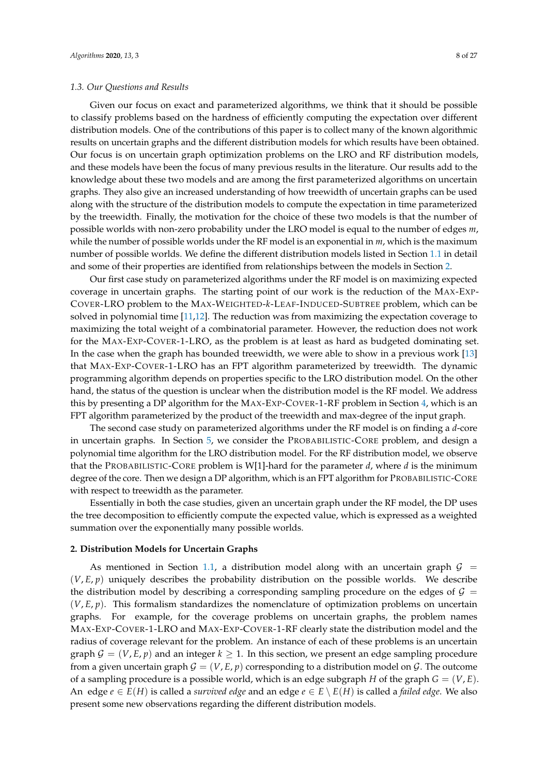Given our focus on exact and parameterized algorithms, we think that it should be possible to classify problems based on the hardness of efficiently computing the expectation over different distribution models. One of the contributions of this paper is to collect many of the known algorithmic results on uncertain graphs and the different distribution models for which results have been obtained. Our focus is on uncertain graph optimization problems on the LRO and RF distribution models, and these models have been the focus of many previous results in the literature. Our results add to the knowledge about these two models and are among the first parameterized algorithms on uncertain graphs. They also give an increased understanding of how treewidth of uncertain graphs can be used along with the structure of the distribution models to compute the expectation in time parameterized by the treewidth. Finally, the motivation for the choice of these two models is that the number of possible worlds with non-zero probability under the LRO model is equal to the number of edges *m*, while the number of possible worlds under the RF model is an exponential in *m*, which is the maximum number of possible worlds. We define the different distribution models listed in Section 1.1 in detail and some of their properties are identified from relationships between the models in Section 2.

Our first case study on parameterized algorithms under the RF model is on maximizing expected coverage in uncertain graphs. The starting point of our work is the reduction of the MAX-EXP-COVER-LRO problem to the MAX-WEIGHTED-*k*-LEAF-INDUCED-SUBTREE problem, which can be solved in polynomial time [11,12]. The reduction was from maximizing the expectation coverage to maximizing the total weight of a combinatorial parameter. However, the reduction does not work for the MAX-EXP-COVER-1-LRO, as the problem is at least as hard as budgeted dominating set. In the case when the graph has bounded treewidth, we were able to show in a previous work [13] that MAX-EXP-COVER-1-LRO has an FPT algorithm parameterized by treewidth. The dynamic programming algorithm depends on properties specific to the LRO distribution model. On the other hand, the status of the question is unclear when the distribution model is the RF model. We address this by presenting a DP algorithm for the MAX-EXP-COVER-1-RF problem in Section 4, which is an FPT algorithm parameterized by the product of the treewidth and max-degree of the input graph.

The second case study on parameterized algorithms under the RF model is on finding a *d*-core in uncertain graphs. In Section 5, we consider the PROBABILISTIC-CORE problem, and design a polynomial time algorithm for the LRO distribution model. For the RF distribution model, we observe that the PROBABILISTIC-CORE problem is W[1]-hard for the parameter *d*, where *d* is the minimum degree of the core. Then we design a DP algorithm, which is an FPT algorithm for PROBABILISTIC-CORE with respect to treewidth as the parameter.

Essentially in both the case studies, given an uncertain graph under the RF model, the DP uses the tree decomposition to efficiently compute the expected value, which is expressed as a weighted summation over the exponentially many possible worlds.

## **2. Distribution Models for Uncertain Graphs**

As mentioned in Section 1.1, a distribution model along with an uncertain graph  $G =$  $(V, E, p)$  uniquely describes the probability distribution on the possible worlds. We describe the distribution model by describing a corresponding sampling procedure on the edges of  $G =$  $(V, E, p)$ . This formalism standardizes the nomenclature of optimization problems on uncertain graphs. For example, for the coverage problems on uncertain graphs, the problem names MAX-EXP-COVER-1-LRO and MAX-EXP-COVER-1-RF clearly state the distribution model and the radius of coverage relevant for the problem. An instance of each of these problems is an uncertain graph  $G = (V, E, p)$  and an integer  $k \ge 1$ . In this section, we present an edge sampling procedure from a given uncertain graph  $\mathcal{G} = (V, E, p)$  corresponding to a distribution model on  $\mathcal{G}$ . The outcome of a sampling procedure is a possible world, which is an edge subgraph *H* of the graph  $G = (V, E)$ . An edge  $e \in E(H)$  is called a *survived edge* and an edge  $e \in E \setminus E(H)$  is called a *failed edge*. We also present some new observations regarding the different distribution models.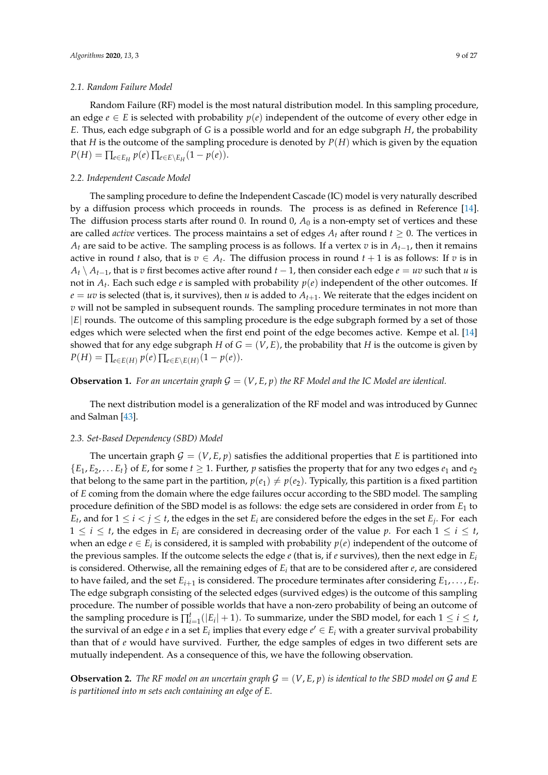### *2.1. Random Failure Model*

Random Failure (RF) model is the most natural distribution model. In this sampling procedure, an edge  $e \in E$  is selected with probability  $p(e)$  independent of the outcome of every other edge in *E*. Thus, each edge subgraph of *G* is a possible world and for an edge subgraph *H*, the probability that *H* is the outcome of the sampling procedure is denoted by *P*(*H*) which is given by the equation  $P(H) = \prod_{e \in E_H} p(e) \prod_{e \in E \setminus E_H} (1 - p(e)).$ 

## *2.2. Independent Cascade Model*

The sampling procedure to define the Independent Cascade (IC) model is very naturally described by a diffusion process which proceeds in rounds. The process is as defined in Reference [14]. The diffusion process starts after round 0. In round 0,  $A_0$  is a non-empty set of vertices and these are called *active* vertices. The process maintains a set of edges  $A_t$  after round  $t \geq 0$ . The vertices in *A<sup>t</sup>* are said to be active. The sampling process is as follows. If a vertex *v* is in *At*−1, then it remains active in round *t* also, that is  $v \in A_t$ . The diffusion process in round  $t + 1$  is as follows: If  $v$  is in  $A_t \setminus A_{t-1}$ , that is *v* first becomes active after round  $t-1$ , then consider each edge  $e = uv$  such that *u* is not in  $A_t$ . Each such edge  $e$  is sampled with probability  $p(e)$  independent of the other outcomes. If  $e = uv$  is selected (that is, it survives), then *u* is added to  $A_{t+1}$ . We reiterate that the edges incident on *v* will not be sampled in subsequent rounds. The sampling procedure terminates in not more than |*E*| rounds. The outcome of this sampling procedure is the edge subgraph formed by a set of those edges which were selected when the first end point of the edge becomes active. Kempe et al. [14] showed that for any edge subgraph *H* of  $G = (V, E)$ , the probability that *H* is the outcome is given by  $P(H) = \prod_{e \in E(H)} p(e) \prod_{e \in E \setminus E(H)} (1 - p(e)).$ 

## **Observation 1.** For an uncertain graph  $\mathcal{G} = (V, E, p)$  the RF Model and the IC Model are identical.

The next distribution model is a generalization of the RF model and was introduced by Gunnec and Salman [43].

#### *2.3. Set-Based Dependency (SBD) Model*

The uncertain graph  $G = (V, E, p)$  satisfies the additional properties that *E* is partitioned into  ${E_1, E_2, \ldots, E_t}$  of *E*, for some  $t \geq 1$ . Further, *p* satisfies the property that for any two edges  $e_1$  and  $e_2$ that belong to the same part in the partition,  $p(e_1) \neq p(e_2)$ . Typically, this partition is a fixed partition of *E* coming from the domain where the edge failures occur according to the SBD model. The sampling procedure definition of the SBD model is as follows: the edge sets are considered in order from *E*<sup>1</sup> to  $E_t$ , and for  $1 \le i < j \le t$ , the edges in the set  $E_i$  are considered before the edges in the set  $E_j$ . For each  $1 \leq i \leq t$ , the edges in  $E_i$  are considered in decreasing order of the value p. For each  $1 \leq i \leq t$ , when an edge  $e \in E_i$  is considered, it is sampled with probability  $p(e)$  independent of the outcome of the previous samples. If the outcome selects the edge *e* (that is, if *e* survives), then the next edge in *E<sup>i</sup>* is considered. Otherwise, all the remaining edges of  $E_i$  that are to be considered after  $e$ , are considered to have failed, and the set  $E_{i+1}$  is considered. The procedure terminates after considering  $E_1, \ldots, E_t$ . The edge subgraph consisting of the selected edges (survived edges) is the outcome of this sampling procedure. The number of possible worlds that have a non-zero probability of being an outcome of the sampling procedure is  $\prod_{i=1}^{t}(|E_i|+1)$ . To summarize, under the SBD model, for each  $1 \leq i \leq t$ , the survival of an edge  $e$  in a set  $E_i$  implies that every edge  $e' \in E_i$  with a greater survival probability than that of *e* would have survived. Further, the edge samples of edges in two different sets are mutually independent. As a consequence of this, we have the following observation.

**Observation 2.** The RF model on an uncertain graph  $\mathcal{G} = (V, E, p)$  is identical to the SBD model on  $\mathcal G$  and  $E$ *is partitioned into m sets each containing an edge of E.*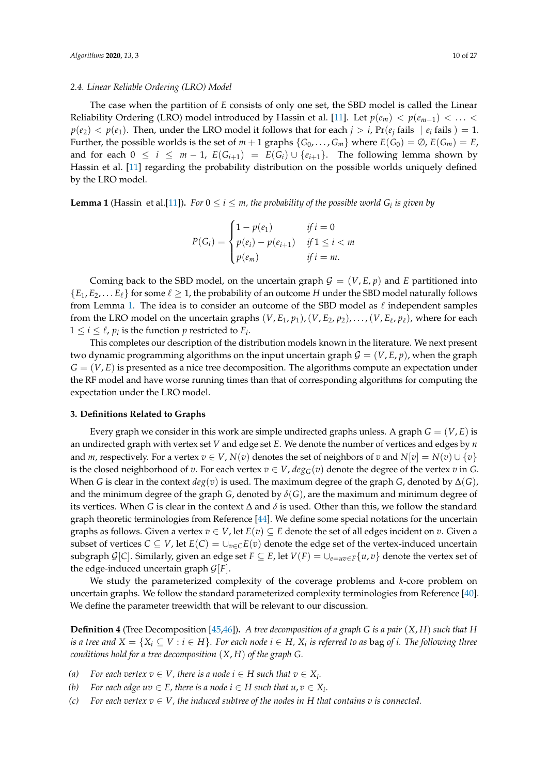### *2.4. Linear Reliable Ordering (LRO) Model*

The case when the partition of *E* consists of only one set, the SBD model is called the Linear Reliability Ordering (LRO) model introduced by Hassin et al. [11]. Let  $p(e_m) < p(e_{m-1}) < \ldots <$  $p(e_2) < p(e_1)$ . Then, under the LRO model it follows that for each  $j > i$ ,  $Pr(e_j \text{ fails } | e_i \text{ fails }) = 1$ . Further, the possible worlds is the set of  $m + 1$  graphs  $\{G_0, \ldots, G_m\}$  where  $E(G_0) = \emptyset$ ,  $E(G_m) = E$ , and for each  $0 \le i \le m-1$ ,  $E(G_{i+1}) = E(G_i) \cup \{e_{i+1}\}$ . The following lemma shown by Hassin et al. [11] regarding the probability distribution on the possible worlds uniquely defined by the LRO model.

**Lemma 1** (Hassin et al.[11]). For  $0 \le i \le m$ , the probability of the possible world  $G_i$  is given by

$$
P(G_i) = \begin{cases} 1 - p(e_1) & \text{if } i = 0 \\ p(e_i) - p(e_{i+1}) & \text{if } 1 \le i < m \\ p(e_m) & \text{if } i = m. \end{cases}
$$

Coming back to the SBD model, on the uncertain graph  $G = (V, E, p)$  and *E* partitioned into  ${E_1, E_2, \ldots, E_\ell}$  for some  $\ell \geq 1$ , the probability of an outcome *H* under the SBD model naturally follows from Lemma 1. The idea is to consider an outcome of the SBD model as  $\ell$  independent samples from the LRO model on the uncertain graphs  $(V, E_1, p_1)$ ,  $(V, E_2, p_2)$ , . . . ,  $(V, E_\ell, p_\ell)$ , where for each  $1 \leq i \leq \ell$ ,  $p_i$  is the function  $p$  restricted to  $E_i$ .

This completes our description of the distribution models known in the literature. We next present two dynamic programming algorithms on the input uncertain graph  $G = (V, E, p)$ , when the graph  $G = (V, E)$  is presented as a nice tree decomposition. The algorithms compute an expectation under the RF model and have worse running times than that of corresponding algorithms for computing the expectation under the LRO model.

#### **3. Definitions Related to Graphs**

Every graph we consider in this work are simple undirected graphs unless. A graph  $G = (V, E)$  is an undirected graph with vertex set *V* and edge set *E*. We denote the number of vertices and edges by *n* and *m*, respectively. For a vertex  $v \in V$ ,  $N(v)$  denotes the set of neighbors of *v* and  $N[v] = N(v) \cup \{v\}$ is the closed neighborhood of *v*. For each vertex  $v \in V$ ,  $deg_G(v)$  denote the degree of the vertex *v* in *G*. When *G* is clear in the context  $deg(v)$  is used. The maximum degree of the graph *G*, denoted by  $\Delta(G)$ , and the minimum degree of the graph *G*, denoted by  $\delta(G)$ , are the maximum and minimum degree of its vertices. When *G* is clear in the context ∆ and *δ* is used. Other than this, we follow the standard graph theoretic terminologies from Reference [44]. We define some special notations for the uncertain graphs as follows. Given a vertex  $v \in V$ , let  $E(v) \subseteq E$  denote the set of all edges incident on *v*. Given a subset of vertices  $C \subseteq V$ , let  $E(C) = \bigcup_{v \in C} E(v)$  denote the edge set of the vertex-induced uncertain subgraph  $\mathcal{G}[C]$ . Similarly, given an edge set  $F \subseteq E$ , let  $V(F) = \bigcup_{e=uv \in F} \{u, v\}$  denote the vertex set of the edge-induced uncertain graph  $\mathcal{G}[F]$ .

We study the parameterized complexity of the coverage problems and *k*-core problem on uncertain graphs. We follow the standard parameterized complexity terminologies from Reference [40]. We define the parameter treewidth that will be relevant to our discussion.

**Definition 4** (Tree Decomposition [45,46])**.** *A tree decomposition of a graph G is a pair* (*X*, *H*) *such that H is a tree and*  $X = \{X_i \subseteq V : i \in H\}$ *. For each node*  $i \in H$ *,*  $X_i$  *<i>is referred to as* bag *of i. The following three conditions hold for a tree decomposition* (*X*, *H*) *of the graph G.*

- *(a)* For each vertex  $v \in V$ , there is a node  $i \in H$  such that  $v \in X_i$ .
- *(b)* For each edge  $uv \in E$ , there is a node  $i \in H$  such that  $u, v \in X_i$ .
- *(c)* For each vertex  $v \in V$ , the induced subtree of the nodes in H that contains v is connected.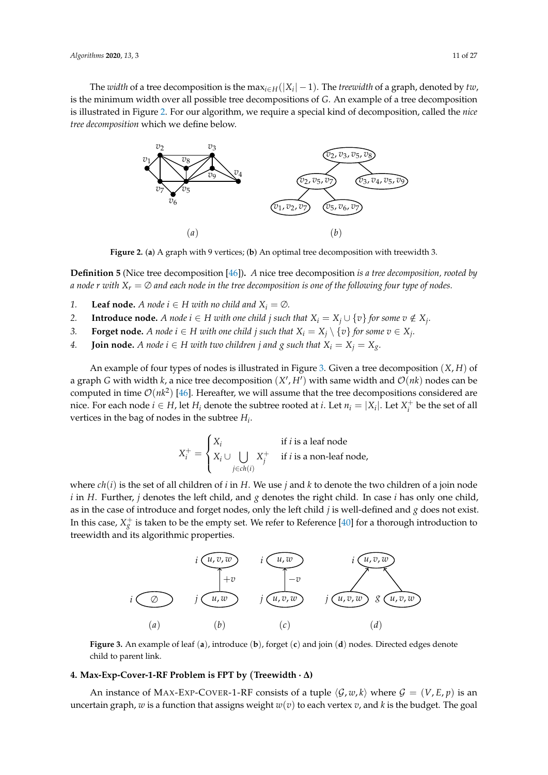The *width* of a tree decomposition is the  $\max_{i \in H} (|X_i| - 1)$ . The *treewidth* of a graph, denoted by *tw*, is the minimum width over all possible tree decompositions of *G*. An example of a tree decomposition is illustrated in Figure 2. For our algorithm, we require a special kind of decomposition, called the *nice tree decomposition* which we define below.



**Figure 2.** (**a**) A graph with 9 vertices; (**b**) An optimal tree decomposition with treewidth 3.

**Definition 5** (Nice tree decomposition [46])**.** *A* nice tree decomposition *is a tree decomposition, rooted by a node r with*  $X_r = \emptyset$  *and each node in the tree decomposition is one of the following four type of nodes.* 

- *1.* **Leaf node.** *A node i*  $\in$  *H with no child and*  $X_i = \emptyset$ *.*
- *2.* **Introduce node.** *A node i* ∈ *H* with one child *j* such that  $X_i = X_j \cup \{v\}$  for some  $v \notin X_j$ .
- *3.* **Forget node.** *A node i* ∈ *H* with one child j such that  $X_i = X_j \setminus \{v\}$  for some  $v \in X_j$ .
- *4.* **Join node.** *A node i* ∈ *H* with two children *j* and *g* such that  $X_i = X_j = X_g$ .

An example of four types of nodes is illustrated in Figure 3. Given a tree decomposition (*X*, *H*) of a graph *G* with width *k*, a nice tree decomposition  $(X', H')$  with same width and  $\mathcal{O}(nk)$  nodes can be computed in time  $\mathcal{O}(nk^2)$  [46]. Hereafter, we will assume that the tree decompositions considered are nice. For each node  $i \in H$ , let  $H_i$  denote the subtree rooted at  $i$ . Let  $n_i = |X_i|$ . Let  $X_i^+$  be the set of all vertices in the bag of nodes in the subtree *H<sup>i</sup>* .

$$
X_i^+ = \begin{cases} X_i & \text{if } i \text{ is a leaf node} \\ X_i \cup \bigcup_{j \in ch(i)} X_j^+ & \text{if } i \text{ is a non-leaf node,} \end{cases}
$$

where *ch*(*i*) is the set of all children of *i* in *H*. We use *j* and *k* to denote the two children of a join node *i* in *H*. Further, *j* denotes the left child, and *g* denotes the right child. In case *i* has only one child, as in the case of introduce and forget nodes, only the left child *j* is well-defined and *g* does not exist. In this case,  $X_g^+$  is taken to be the empty set. We refer to Reference [40] for a thorough introduction to treewidth and its algorithmic properties.



**Figure 3.** An example of leaf (**a**), introduce (**b**), forget (**c**) and join (**d**) nodes. Directed edges denote child to parent link.

## **4. Max-Exp-Cover-1-RF Problem is FPT by** (**Treewidth** · **∆)**

An instance of MAX-EXP-COVER-1-RF consists of a tuple  $\langle G, w, k \rangle$  where  $G = (V, E, p)$  is an uncertain graph, *w* is a function that assigns weight *w*(*v*) to each vertex *v*, and *k* is the budget. The goal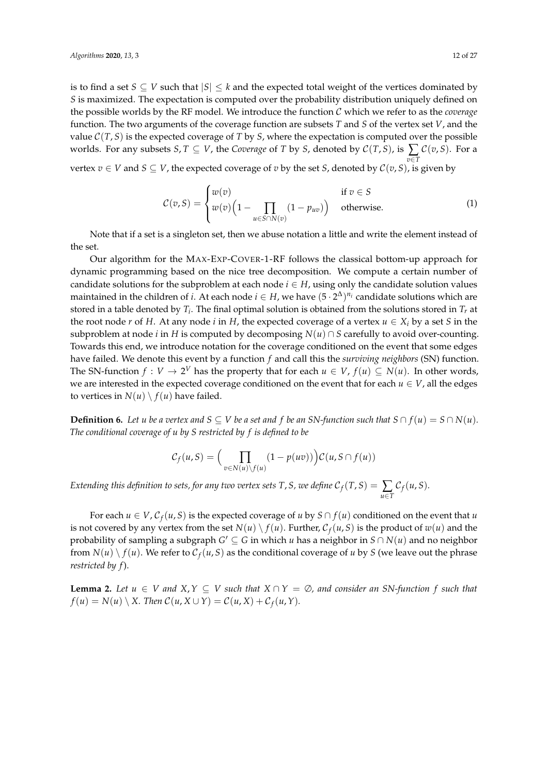is to find a set *S*  $\subseteq$  *V* such that  $|S| \le k$  and the expected total weight of the vertices dominated by *S* is maximized. The expectation is computed over the probability distribution uniquely defined on the possible worlds by the RF model. We introduce the function C which we refer to as the *coverage* function. The two arguments of the coverage function are subsets *T* and *S* of the vertex set *V*, and the value  $C(T, S)$  is the expected coverage of *T* by *S*, where the expectation is computed over the possible worlds. For any subsets  $S, T \subseteq V$ , the *Coverage* of *T* by *S*, denoted by  $C(T, S)$ , is  $\sum C(v, S)$ . For a *v*∈*T*

vertex  $v \in V$  and  $S \subseteq V$ , the expected coverage of  $v$  by the set  $S$ , denoted by  $\mathcal{C}(v,S)$ , is given by

$$
C(v, S) = \begin{cases} w(v) & \text{if } v \in S \\ w(v) \Big( 1 - \prod_{u \in S \cap N(v)} (1 - p_{uv}) \Big) & \text{otherwise.} \end{cases}
$$
 (1)

Note that if a set is a singleton set, then we abuse notation a little and write the element instead of the set.

Our algorithm for the MAX-EXP-COVER-1-RF follows the classical bottom-up approach for dynamic programming based on the nice tree decomposition. We compute a certain number of candidate solutions for the subproblem at each node  $i \in H$ , using only the candidate solution values maintained in the children of *i*. At each node  $i \in H$ , we have  $(5 \cdot 2^{\Delta})^{n_i}$  candidate solutions which are stored in a table denoted by *T<sup>i</sup>* . The final optimal solution is obtained from the solutions stored in *T<sup>r</sup>* at the root node *r* of *H*. At any node *i* in *H*, the expected coverage of a vertex  $u \in X_i$  by a set *S* in the subproblem at node *i* in *H* is computed by decomposing  $N(u) \cap S$  carefully to avoid over-counting. Towards this end, we introduce notation for the coverage conditioned on the event that some edges have failed. We denote this event by a function *f* and call this the *surviving neighbors* (SN) function. The SN-function  $f: V \to 2^V$  has the property that for each  $u \in V$ ,  $f(u) \subseteq N(u)$ . In other words, we are interested in the expected coverage conditioned on the event that for each  $u \in V$ , all the edges to vertices in  $N(u) \setminus f(u)$  have failed.

**Definition 6.** Let u be a vertex and  $S \subseteq V$  be a set and f be an SN-function such that  $S \cap f(u) = S \cap N(u)$ . *The conditional coverage of u by S restricted by f is defined to be*

$$
C_f(u, S) = \Big(\prod_{v \in N(u) \setminus f(u)} (1 - p(uv))\Big) C(u, S \cap f(u))
$$

 $E$ xtending this definition to sets, for any two vertex sets T , S , we define  $\mathcal{C}_f(T,S) = \sum_{i=1}^n \mathcal{C}_f(T,S)$ *u*∈*T*  $\mathcal{C}_f(u, S)$ .

For each  $u \in V$  ,  $\mathcal{C}_f(u, S)$  is the expected coverage of  $u$  by  $S \cap f(u)$  conditioned on the event that  $u$ is not covered by any vertex from the set  $N(u) \setminus f(u)$ . Further,  $\mathcal{C}_f(u, S)$  is the product of  $w(u)$  and the probability of sampling a subgraph  $G' \subseteq G$  in which *u* has a neighbor in  $S \cap N(u)$  and no neighbor from  $N(u) \setminus f(u)$ . We refer to  $\mathcal{C}_f(u, S)$  as the conditional coverage of  $u$  by  $S$  (we leave out the phrase *restricted by f*).

**Lemma 2.** Let  $u \in V$  and  $X, Y \subseteq V$  such that  $X \cap Y = \emptyset$ , and consider an SN-function f such that  $f(u) = N(u) \setminus X$ . Then  $C(u, X \cup Y) = C(u, X) + C_f(u, Y)$ .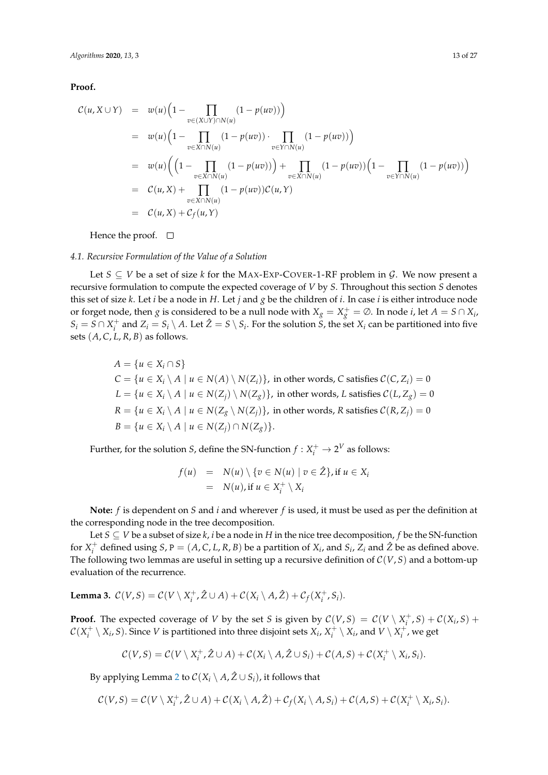**Proof.**

$$
C(u, X \cup Y) = w(u) \Big( 1 - \prod_{v \in (X \cup Y) \cap N(u)} (1 - p(uv)) \Big)
$$
  
=  $w(u) \Big( 1 - \prod_{v \in X \cap N(u)} (1 - p(uv)) \cdot \prod_{v \in Y \cap N(u)} (1 - p(uv)) \Big)$   
=  $w(u) \Big( \Big( 1 - \prod_{v \in X \cap N(u)} (1 - p(uv)) \Big) + \prod_{v \in X \cap N(u)} (1 - p(uv)) \Big( 1 - \prod_{v \in Y \cap N(u)} (1 - p(uv)) \Big)$   
=  $C(u, X) + \prod_{v \in X \cap N(u)} (1 - p(uv)) C(u, Y)$   
=  $C(u, X) + C_f(u, Y)$ 

Hence the proof.  $\square$ 

## *4.1. Recursive Formulation of the Value of a Solution*

Let  $S \subseteq V$  be a set of size *k* for the MAX-EXP-COVER-1-RF problem in  $\mathcal{G}$ . We now present a recursive formulation to compute the expected coverage of *V* by *S*. Throughout this section *S* denotes this set of size *k*. Let *i* be a node in *H*. Let *j* and *g* be the children of *i*. In case *i* is either introduce node or forget node, then *g* is considered to be a null node with  $X_g = X_g^+ = \emptyset$ . In node *i*, let  $A = S \cap X_i$ ,  $S_i = S \cap X_i^+$  and  $Z_i = S_i \setminus A$ . Let  $\hat{Z} = S \setminus S_i$ . For the solution  $S$ , the set  $X_i$  can be partitioned into five sets  $(A, C, L, R, B)$  as follows.

> *A* = { $u \in X_i \cap S$ }  $C = \{u \in X_i \setminus A \mid u \in N(A) \setminus N(Z_i)\},\$  in other words, *C* satisfies  $C(C, Z_i) = 0$  $L = \{u \in X_i \setminus A \mid u \in N(Z_i) \setminus N(Z_g)\},\$  in other words, *L* satisfies  $C(L, Z_g) = 0$  $R = \{u \in X_i \setminus A \mid u \in N(Z_g \setminus N(Z_j))\}$ , in other words, *R* satisfies  $C(R, Z_j) = 0$  $B = \{u \in X_i \setminus A \mid u \in N(Z_i) \cap N(Z_{\varrho})\}.$

Further, for the solution *S*, define the SN-function  $f: X_i^+ \to 2^V$  as follows:

$$
f(u) = N(u) \setminus \{v \in N(u) \mid v \in \hat{Z}\}, \text{if } u \in X_i
$$
  
=  $N(u), \text{if } u \in X_i^+ \setminus X_i$ 

**Note:** *f* is dependent on *S* and *i* and wherever *f* is used, it must be used as per the definition at the corresponding node in the tree decomposition.

Let *S* ⊆ *V* be a subset of size *k*, *i* be a node in *H* in the nice tree decomposition, *f* be the SN-function for  $X_i^+$  defined using *S*, P =  $(A, C, L, R, B)$  be a partition of  $X_i$ , and  $S_i$ ,  $Z_i$  and  $\hat{Z}$  be as defined above. The following two lemmas are useful in setting up a recursive definition of  $C(V, S)$  and a bottom-up evaluation of the recurrence.

**Lemma 3.**  $C(V, S) = C(V \setminus X_i^+, \hat{Z} \cup A) + C(X_i \setminus A, \hat{Z}) + C_f(X_i^+, S_i).$ 

**Proof.** The expected coverage of *V* by the set *S* is given by  $C(V, S) = C(V \setminus X_i^+, S) + C(X_i, S) + C(Y_i, S)$  $\mathcal{C}(X_i^+ \setminus X_i, S)$ . Since  $V$  is partitioned into three disjoint sets  $X_i$ ,  $X_i^+ \setminus X_i$ , and  $V \setminus X_i^+$ , we get

$$
C(V, S) = C(V \setminus X_i^+, \hat{Z} \cup A) + C(X_i \setminus A, \hat{Z} \cup S_i) + C(A, S) + C(X_i^+ \setminus X_i, S_i).
$$

By applying Lemma 2 to  $C(X_i \setminus A, \hat{Z} \cup S_i)$ , it follows that

$$
C(V, S) = C(V \setminus X_i^+, \hat{Z} \cup A) + C(X_i \setminus A, \hat{Z}) + C_f(X_i \setminus A, S_i) + C(A, S) + C(X_i^+ \setminus X_i, S_i).
$$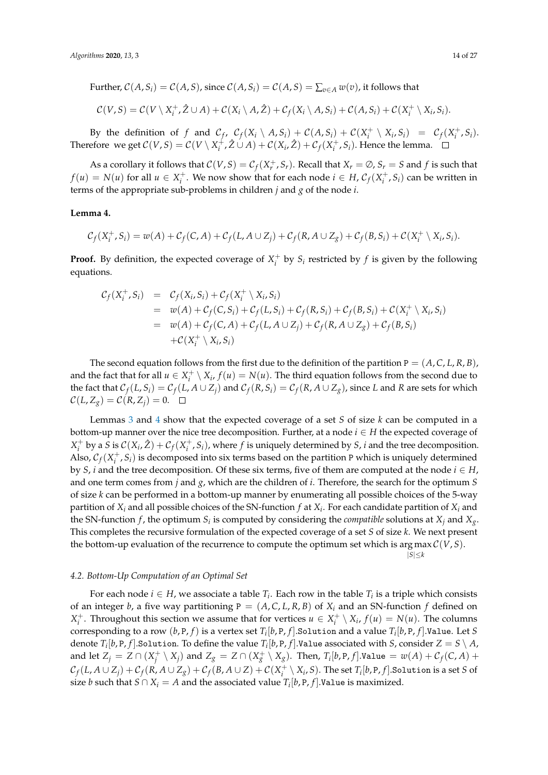Further,  $C(A, S_i) = C(A, S)$ , since  $C(A, S_i) = C(A, S) = \sum_{v \in A} w(v)$ , it follows that

$$
C(V, S) = C(V \setminus X_i^+, \hat{Z} \cup A) + C(X_i \setminus A, \hat{Z}) + C_f(X_i \setminus A, S_i) + C(A, S_i) + C(X_i^+ \setminus X_i, S_i).
$$

By the definition of f and  $C_f$ ,  $C_f(X_i \setminus A, S_i) + C(A, S_i) + C(X_i^+ \setminus X_i, S_i) = C_f(X_i^+, S_i)$ . Therefore we get  $C(V, S) = C(V \setminus X_i^{\perp}, \hat{Z} \cup A) + C(X_i, \hat{Z}) + C_f(X_i^+, S_i)$ . Hence the lemma.

As a corollary it follows that  $C(V, S) = C_f(X_r^+, S_r)$ . Recall that  $X_r = \emptyset$ ,  $S_r = S$  and  $f$  is such that *f*(*u*) = *N*(*u*) for all *u* ∈ *X*<sup> $+$ </sup>. We now show that for each node *i* ∈ *H*,  $\mathcal{C}_f(X_i^+, S_i)$  can be written in terms of the appropriate sub-problems in children *j* and *g* of the node *i*.

### **Lemma 4.**

$$
C_f(X_i^+, S_i) = w(A) + C_f(C, A) + C_f(L, A \cup Z_j) + C_f(R, A \cup Z_g) + C_f(B, S_i) + C(X_i^+ \setminus X_i, S_i).
$$

**Proof.** By definition, the expected coverage of  $X_i^+$  by  $S_i$  restricted by  $f$  is given by the following equations.

$$
C_f(X_i^+, S_i) = C_f(X_i, S_i) + C_f(X_i^+ \setminus X_i, S_i)
$$
  
=  $w(A) + C_f(C, S_i) + C_f(L, S_i) + C_f(R, S_i) + C_f(B, S_i) + C(X_i^+ \setminus X_i, S_i)$   
=  $w(A) + C_f(C, A) + C_f(L, A \cup Z_j) + C_f(R, A \cup Z_g) + C_f(B, S_i)$   
+  $C(X_i^+ \setminus X_i, S_i)$ 

The second equation follows from the first due to the definition of the partition  $P = (A, C, L, R, B)$ , and the fact that for all  $u \in X_i^+ \setminus X_i$ ,  $f(u) = N(u)$ . The third equation follows from the second due to the fact that  $C_f(L,S_i)=C_f(L,A\cup Z_j)$  and  $C_f(R,S_i)=C_f(R,A\cup Z_g)$ , since L and R are sets for which  $\mathcal{C}(L, Z_g) = \mathcal{C}(R, Z_i) = 0.$ 

Lemmas 3 and 4 show that the expected coverage of a set *S* of size *k* can be computed in a bottom-up manner over the nice tree decomposition. Further, at a node  $i \in H$  the expected coverage of  $X_i^+$  by a *S* is  $C(X_i, \hat{Z}) + C_f(X_i^+, S_i)$ , where *f* is uniquely determined by *S*, *i* and the tree decomposition. Also,  $\mathcal{C}_f(X_i^+, S_i)$  is decomposed into six terms based on the partition P which is uniquely determined by *S*, *i* and the tree decomposition. Of these six terms, five of them are computed at the node  $i \in H$ , and one term comes from *j* and *g*, which are the children of *i*. Therefore, the search for the optimum *S* of size *k* can be performed in a bottom-up manner by enumerating all possible choices of the 5-way partition of  $X_i$  and all possible choices of the SN-function  $f$  at  $X_i$ . For each candidate partition of  $X_i$  and the SN-function *f*, the optimum  $S_i$  is computed by considering the *compatible* solutions at  $X_j$  and  $X_g$ . This completes the recursive formulation of the expected coverage of a set *S* of size *k*. We next present the bottom-up evaluation of the recurrence to compute the optimum set which is arg max  $C(V, S)$ . |*S*|≤*k*

## *4.2. Bottom-Up Computation of an Optimal Set*

For each node  $i \in H$ , we associate a table  $T_i$ . Each row in the table  $T_i$  is a triple which consists of an integer *b*, a five way partitioning  $P = (A, C, L, R, B)$  of  $X_i$  and an SN-function f defined on *X*<sup>+</sup>. Throughout this section we assume that for vertices  $u \in X_i^+ \setminus X_i$ ,  $f(u) = N(u)$ . The columns corresponding to a row  $(b, P, f)$  is a vertex set  $T_i[b, P, f]$ . Solution and a value  $T_i[b, P, f]$ . Value. Let *S* denote  $T_i[b, P, f]$ . Solution. To define the value  $T_i[b, P, f]$ . Value associated with *S*, consider  $Z = S \setminus A$ , and let  $Z_j = Z \cap (X_j^+ \setminus X_j)$  and  $Z_g = Z \cap (X_g^+ \setminus X_g)$ . Then,  $T_i[b, P, f]$ .Value  $= w(A) + C_f(C, A) + C_f(C, A)$  $\mathcal{C}_f(L,A\cup Z_j)+\mathcal{C}_f(R,A\cup Z_g)+\mathcal{C}_f(B,A\cup Z)+\mathcal{C}(X_i^+\setminus X_i,S).$  The set  $T_i[b,\mathsf{P},f].$ Solution is a set  $S$  of size *b* such that  $S \cap X_i = A$  and the associated value  $T_i[b, P, f]$ . Value is maximized.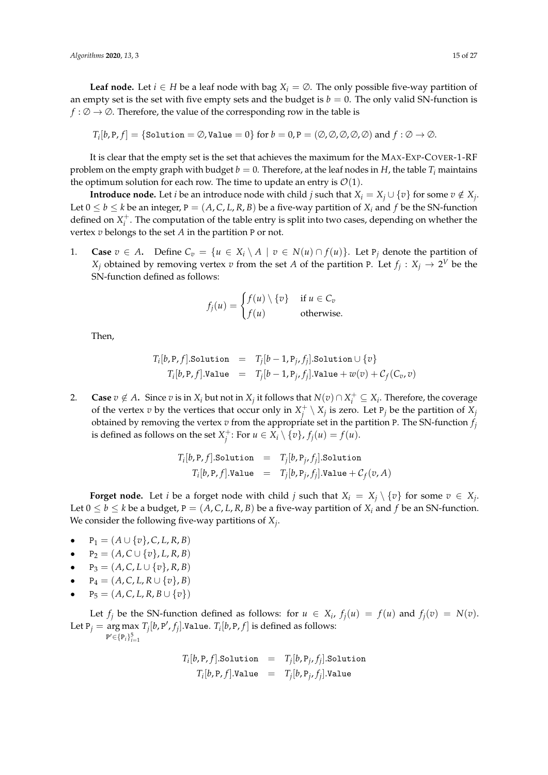**Leaf node.** Let  $i \in H$  be a leaf node with bag  $X_i = \emptyset$ . The only possible five-way partition of an empty set is the set with five empty sets and the budget is  $b = 0$ . The only valid SN-function is  $f : \emptyset \to \emptyset$ . Therefore, the value of the corresponding row in the table is

$$
T_i[b, P, f] = \{ \text{Solution} = \emptyset, \text{Value} = 0 \} \text{ for } b = 0, P = (\emptyset, \emptyset, \emptyset, \emptyset, \emptyset) \text{ and } f : \emptyset \to \emptyset.
$$

It is clear that the empty set is the set that achieves the maximum for the MAX-EXP-COVER-1-RF problem on the empty graph with budget  $b = 0$ . Therefore, at the leaf nodes in *H*, the table  $T_i$  maintains the optimum solution for each row. The time to update an entry is  $\mathcal{O}(1)$ .

**Introduce node.** Let *i* be an introduce node with child *j* such that  $X_i = X_j \cup \{v\}$  for some  $v \notin X_j$ . Let  $0 \le b \le k$  be an integer,  $P = (A, C, L, R, B)$  be a five-way partition of  $X_i$  and  $f$  be the SN-function defined on  $X_i^+$ . The computation of the table entry is split into two cases, depending on whether the vertex *v* belongs to the set *A* in the partition P or not.

1. **Case**  $v \in A$ . Define  $C_v = \{u \in X_i \setminus A \mid v \in N(u) \cap f(u)\}$ . Let  $P_i$  denote the partition of *X*<sub>*j*</sub> obtained by removing vertex *v* from the set *A* of the partition P. Let  $f_j: X_j \to 2^V$  be the SN-function defined as follows:

$$
f_j(u) = \begin{cases} f(u) \setminus \{v\} & \text{if } u \in C_v \\ f(u) & \text{otherwise.} \end{cases}
$$

Then,

$$
T_i[b, P, f]. \text{Solution} = T_j[b - 1, P_j, f_j]. \text{Solution} \cup \{v\}
$$
  

$$
T_i[b, P, f]. \text{Value} = T_j[b - 1, P_j, f_j]. \text{Value} + w(v) + C_f(C_v, v)
$$

2. **Case**  $v \notin A$ . Since  $v$  is in  $X_i$  but not in  $X_j$  it follows that  $N(v) \cap X_i^+ ⊆ X_i$ . Therefore, the coverage of the vertex *v* by the vertices that occur only in  $X_j^+ \setminus X_j$  is zero. Let  $P_j$  be the partition of  $X_j$ obtained by removing the vertex *v* from the appropriate set in the partition P. The SN-function *f<sup>j</sup>* is defined as follows on the set  $X_j^+$ : For  $u \in X_i \setminus \{v\}$ ,  $f_j(u) = f(u)$ .

$$
T_i[b, P, f]. \text{Solution} = T_j[b, P_j, f_j]. \text{Solution}
$$
  

$$
T_i[b, P, f]. \text{Value} = T_j[b, P_j, f_j]. \text{Value} + C_f(v, A)
$$

**Forget node.** Let *i* be a forget node with child *j* such that  $X_i = X_j \setminus \{v\}$  for some  $v \in X_j$ . Let  $0 \le b \le k$  be a budget,  $P = (A, C, L, R, B)$  be a five-way partition of  $X_i$  and f be an SN-function. We consider the following five-way partitions of *X<sup>j</sup>* .

- $P_1 = (A \cup \{v\}, C, L, R, B)$
- $P_2 = (A, C \cup \{v\}, L, R, B)$
- $P_3 = (A, C, L \cup \{v\}, R, B)$
- $P_4 = (A, C, L, R \cup \{v\}, B)$
- $P_5 = (A, C, L, R, B \cup \{v\})$

Let  $f_j$  be the SN-function defined as follows: for  $u \in X_i$ ,  $f_j(u) = f(u)$  and  $f_j(v) = N(v)$ . Let  $P_j = \arg \max T_j[b, P', f_j]$ .Value.  $T_i[b, P, f]$  is defined as follows:  $P' \in \{P_i\}_{i=1}^5$ 

$$
T_i[b, P, f]. \text{Solution} = T_j[b, P_j, f_j]. \text{Solution}
$$
  

$$
T_i[b, P, f]. \text{Value} = T_j[b, P_j, f_j]. \text{Value}
$$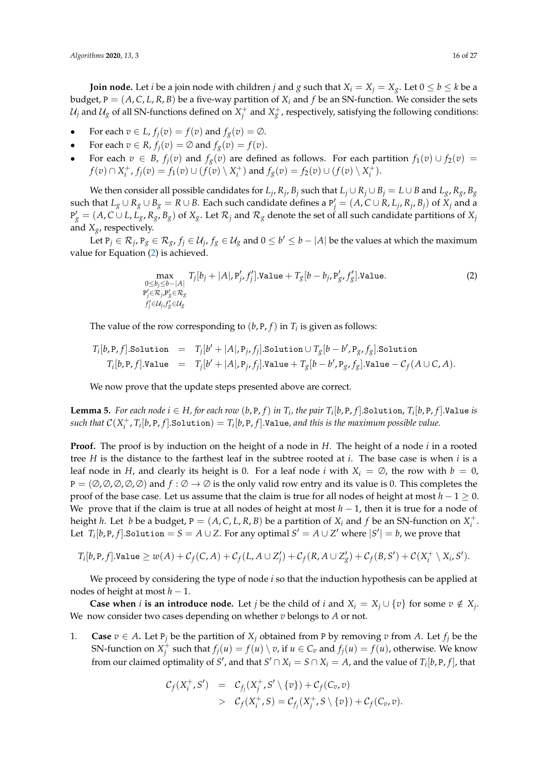**Join node.** Let *i* be a join node with children *j* and *g* such that  $X_i = X_j = X_g$ . Let  $0 \le b \le k$  be a budget,  $P = (A, C, L, R, B)$  be a five-way partition of  $X_i$  and  $f$  be an SN-function. We consider the sets  $u_j$  and  $u_g$  of all SN-functions defined on  $X^+_j$  and  $X^+_g$ , respectively, satisfying the following conditions:

- For each  $v \in L$ ,  $f_i(v) = f(v)$  and  $f_g(v) = \emptyset$ .
- For each  $v \in R$ ,  $f_i(v) = \emptyset$  and  $f_g(v) = f(v)$ .
- For each  $v \in B$ ,  $f_i(v)$  and  $f_g(v)$  are defined as follows. For each partition  $f_1(v) \cup f_2(v) =$  $f(v) \cap X_i^+, f_j(v) = f_1(v) \cup (f(v) \setminus X_i^+)$  and  $f_g(v) = f_2(v) \cup (f(v) \setminus X_i^+)$ .

We then consider all possible candidates for  $L_j$ ,  $R_j$ ,  $B_j$  such that  $L_j\cup R_j\cup B_j=L\cup B$  and  $L_g$ ,  $R_g$ ,  $B_g$ such that  $L_g\cup R_g\cup B_g=R\cup B$ . Each such candidate defines a  $P'_j=(A,C\cup R,L_j,R_j,B_j)$  of  $X_j$  and a  $P'_g = (A, C \cup L, L_g, R_g, B_g)$  of  $X_g$ . Let  $\mathcal{R}_j$  and  $\mathcal{R}_g$  denote the set of all such candidate partitions of  $X_j$ and *Xg*, respectively.

Let  $P_j \in \mathcal{R}_j$ ,  $P_g \in \mathcal{R}_g$ ,  $f_j \in \mathcal{U}_j$ ,  $f_g \in \mathcal{U}_g$  and  $0 \leq b' \leq b - |A|$  be the values at which the maximum value for Equation (2) is achieved.

$$
\max_{\substack{0 \le b_j \le b-|A| \\ P'_j \in \mathcal{R}_j, P'_g \in \mathcal{R}_g}} T_j[b_j + |A|, P'_j, f'_j]. \text{Value} + T_g[b - b_j, P'_g, f'_g]. \text{Value.}
$$
\n
$$
P'_j \in \mathcal{R}_j, P'_g \in \mathcal{R}_g
$$
\n
$$
f'_j \in \mathcal{U}_j, f'_g \in \mathcal{U}_g
$$
\n
$$
(2)
$$

The value of the row corresponding to  $(b, P, f)$  in  $T_i$  is given as follows:

$$
T_i[b, P, f]. \text{Solution} = T_j[b' + |A|, P_j, f_j]. \text{Solution} \cup T_g[b - b', P_g, f_g]. \text{Solution}
$$
  

$$
T_i[b, P, f]. \text{Value} = T_j[b' + |A|, P_j, f_j]. \text{Value} + T_g[b - b', P_g, f_g]. \text{Value} - C_f(A \cup C, A).
$$

We now prove that the update steps presented above are correct.

**Lemma 5.** For each node  $i \in H$ , for each row  $(b, P, f)$  in  $T_i$ , the pair  $T_i[b, P, f]$ . Solution,  $T_i[b, P, f]$ . Value is  $\textit{such that } \mathcal{C}(X_i^+, T_i[b, P, f] \text{.} \text{Solution}) = T_i[b, P, f] \text{.} \text{Value, and this is the maximum possible value.}$ 

**Proof.** The proof is by induction on the height of a node in *H*. The height of a node *i* in a rooted tree *H* is the distance to the farthest leaf in the subtree rooted at *i*. The base case is when *i* is a leaf node in *H*, and clearly its height is 0. For a leaf node *i* with  $X_i = \emptyset$ , the row with  $b = 0$ ,  $P = (\emptyset, \emptyset, \emptyset, \emptyset, \emptyset)$  and  $f : \emptyset \to \emptyset$  is the only valid row entry and its value is 0. This completes the proof of the base case. Let us assume that the claim is true for all nodes of height at most *h* − 1 ≥ 0. We prove that if the claim is true at all nodes of height at most *h* − 1, then it is true for a node of height *h*. Let *b* be a budget,  $P = (A, C, L, R, B)$  be a partition of  $X_i$  and  $f$  be an SN-function on  $X_i^+$ . Let  $T_i[b, P, f]$ . Solution  $= S = A \cup Z$ . For any optimal  $S' = A \cup Z'$  where  $|S'| = b$ , we prove that

$$
T_i[b, \mathbf{P}, f].\texttt{Value} \geq w(A) + C_f(C, A) + C_f(L, A \cup Z'_j) + C_f(R, A \cup Z'_g) + C_f(B, S') + C(X^+_i \setminus X_i, S').
$$

We proceed by considering the type of node *i* so that the induction hypothesis can be applied at nodes of height at most *h* − 1.

**Case when** *i* **is an introduce node.** Let *j* be the child of *i* and  $X_i = X_j \cup \{v\}$  for some  $v \notin X_j$ . We now consider two cases depending on whether *v* belongs to *A* or not.

1. **Case** *v* ∈ *A***.** Let P<sub>*j*</sub> be the partition of  $X_j$  obtained from P by removing *v* from *A*. Let  $f_j$  be the SN-function on  $X_j^+$  such that  $f_j(u) = f(u) \setminus v$ , if  $u \in C_v$  and  $f_j(u) = f(u)$ , otherwise. We know from our claimed optimality of *S*<sup>*'*</sup>, and that *S*<sup>*'*</sup>  $\cap$  *X*<sub>*i*</sub> = *S* $\cap$  *X*<sub>*i*</sub> = *A*, and the value of *T*<sub>*i*</sub>[*b*, P, *f*], that

$$
C_f(X_i^+, S') = C_{f_j}(X_j^+, S' \setminus \{v\}) + C_f(C_v, v)
$$
  
> 
$$
C_f(X_i^+, S) = C_{f_j}(X_j^+, S \setminus \{v\}) + C_f(C_v, v).
$$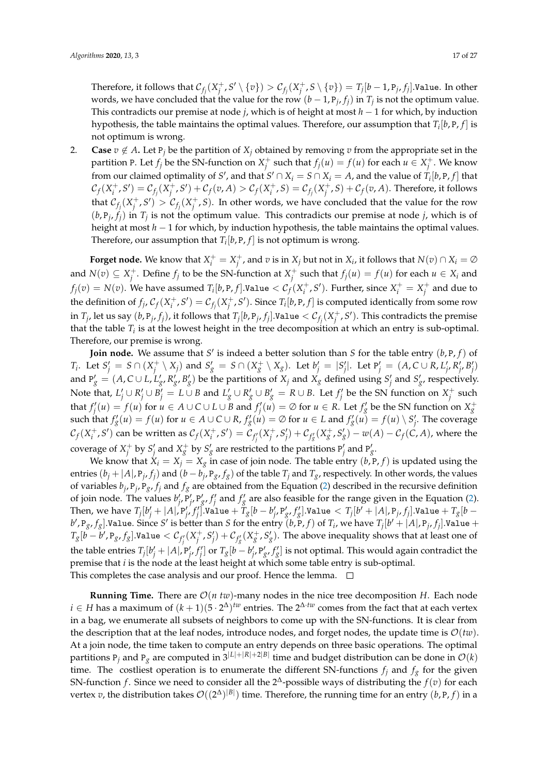Therefore, it follows that  $\mathcal{C}_{f_j}(X_j^+,S'\setminus\{v\})>\mathcal{C}_{f_j}(X_j^+,S\setminus\{v\})=T_j[b-1,\mathtt{P}_j,f_j].\mathtt{Value}.$  In other words, we have concluded that the value for the row  $(b-1,P_j,f_j)$  in  $T_j$  is not the optimum value. This contradicts our premise at node *j*, which is of height at most *h* − 1 for which, by induction hypothesis, the table maintains the optimal values. Therefore, our assumption that *T<sup>i</sup>* [*b*, P, *f* ] is not optimum is wrong.

2. **Case**  $v \notin A$ . Let P<sub>j</sub> be the partition of  $X_i$  obtained by removing  $v$  from the appropriate set in the partition P. Let  $f_j$  be the SN-function on  $X_j^+$  such that  $f_j(u) = f(u)$  for each  $u \in X_j^+$ . We know from our claimed optimality of *S'*, and that  $S' \cap X_i = S \cap X_i = A$ , and the value of  $T_i[b, P, f]$  that  $\mathcal{C}_f(X_i^+,S')=\mathcal{C}_{f_j}(X_j^+,S')+\mathcal{C}_f(v,A)>\mathcal{C}_f(X_i^+,S)=\mathcal{C}_{f_j}(X_j^+,S)+\mathcal{C}_f(v,A).$  Therefore, it follows that  $\mathcal{C}_{f_j}(X_j^+, S') > \mathcal{C}_{f_j}(X_j^+, S)$ . In other words, we have concluded that the value for the row  $(b, P_j, f_j)$  in  $T_j$  is not the optimum value. This contradicts our premise at node *j*, which is of height at most *h* − 1 for which, by induction hypothesis, the table maintains the optimal values. Therefore, our assumption that  $T_i[b, P, f]$  is not optimum is wrong.

**Forget node.** We know that  $X_i^+ = X_j^+$ , and  $v$  is in  $X_j$  but not in  $X_i$ , it follows that  $N(v) \cap X_i = \emptyset$ and  $N(v) \subseteq X_j^+$ . Define  $f_j$  to be the SN-function at  $X_j^+$  such that  $f_j(u) = f(u)$  for each  $u \in X_i$  and  $f_j(v)=N(v).$  We have assumed  $T_i[b,\texttt{P},f].$ Value  $<\mathcal{C}_f(X_i^+,S').$  Further, since  $X_i^+=X_j^+$  and due to the definition of  $f_j$ ,  $C_f(X_i^+, S') = C_{f_j}(X_j^+, S')$ . Since  $T_i[b, P, f]$  is computed identically from some row in  $T_j$ , let us say  $(b,P_j,f_j)$ , it follows that  $T_j[b,P_j,f_j].$  Value  $<\mathcal{C}_{f_j}(X_j^+,S').$  This contradicts the premise that the table  $T_i$  is at the lowest height in the tree decomposition at which an entry is sub-optimal. Therefore, our premise is wrong.

**Join node.** We assume that *S'* is indeed a better solution than *S* for the table entry  $(b, P, f)$  of  $T_i$ . Let  $S'_j = S \cap (X_j^+ \setminus X_j)$  and  $S'_g = S \cap (X_g^+ \setminus X_g)$ . Let  $b'_j = |S'_j|$ . Let  $P'_j = (A, C \cup R, L'_j, R'_j, B'_j)$ and  $P'_g = (A, C \cup L, L'_g, R'_g, B'_g)$  be the partitions of  $X_j$  and  $X_g$  defined using  $S'_j$  and  $S'_g$ , respectively. Note that,  $L'_j\cup R'_j\cup B'_j=L\cup B$  and  $L'_g\cup R'_g\cup B'_g=R\cup B$ . Let  $f'_j$  be the SN function on  $X^+_j$  such that  $f'_j(u) = f(u)$  for  $u \in A \cup C \cup L \cup B$  and  $f'_j(u) = \emptyset$  for  $u \in R$ . Let  $f'_g$  be the SN function on  $X_g^+$ such that  $f'_g(u) = f(u)$  for  $u \in A \cup C \cup R$ ,  $f'_g(u) = \emptyset$  for  $u \in L$  and  $f'_g(u) = f(u) \setminus S'_j$ . The coverage  $\mathcal{C}_f(X_i^+,S')$  can be written as  $\mathcal{C}_f(X_i^+,S')=\mathcal{C}_{f'_j}(X_j^+,S'_j)+\mathcal{C}_{f'_g}(X_g^+,S'_g)-w(A)-\mathcal{C}_f(C,A)$ , where the coverage of  $X_j^+$  by  $S'_j$  and  $X_g^+$  by  $S'_g$  are restricted to the partitions  $P'_j$  and  $P'_g$ .

We know that  $X_i = X_j = X_g$  in case of join node. The table entry  $(b, P, f)$  is updated using the entries  $(b_j + |A|, P_j, f_j)$  and  $(b - b_j, P_g, f_g)$  of the table  $T_j$  and  $T_g$ , respectively. In other words, the values of variables  $b_j$ ,  $P_j$ ,  $P_g$ ,  $f_j$  and  $f_g$  are obtained from the Equation (2) described in the recursive definition of join node. The values  $b'_j$ ,  $P'_j$ ,  $P'_g$ ,  $f'_j$  and  $f'_g$  are also feasible for the range given in the Equation (2). Then, we have  $T_j[b'_j+|A|,P'_j,f'_j].$ Value  $+$   $\widetilde T_g[b-b'_j,P'_{g'},f'_g].$ Value  $< T_j[b'+|A|,P_j,f_j].$ Value  $+$   $T_g[b$  $b',P_g,f_g].$ Value. Since  $S'$  is better than  $S$  for the entry  $(b,\mathtt{P},f)$  of  $T_i$ , we have  $T_j[b'+|A|,P_j,f_j].$ Value  $+$  $T_g[b-b',{\mathtt P}_g,f_g].$ Value  $<{\mathcal C}_{f'_j}(X_j^+,S'_j)+{\mathcal C}_{f'_g}(X_g^+,S'_g).$  The above inequality shows that at least one of the table entries  $T_j[b'_j+|A|,P'_{j'}f'_j]$  or  $T_g[b-b'_j,P'_{g'},f'_g]$  is not optimal. This would again contradict the premise that *i* is the node at the least height at which some table entry is sub-optimal. This completes the case analysis and our proof. Hence the lemma.  $\Box$ 

**Running Time.** There are  $O(n \, tw)$ -many nodes in the nice tree decomposition *H*. Each node *i* ∈ *H* has a maximum of  $(k + 1)(5 \cdot 2^{\Delta})^{tw}$  entries. The 2<sup>∆*·tw*</sup> comes from the fact that at each vertex in a bag, we enumerate all subsets of neighbors to come up with the SN-functions. It is clear from the description that at the leaf nodes, introduce nodes, and forget nodes, the update time is  $\mathcal{O}(tw)$ . At a join node, the time taken to compute an entry depends on three basic operations. The optimal partitions  $P_j$  and  $P_g$  are computed in 3<sup>|L|+|R|+2|*B*| time and budget distribution can be done in  $\mathcal{O}(k)$ </sup> time. The costliest operation is to enumerate the different SN-functions  $f_i$  and  $f_g$  for the given SN-function *f* . Since we need to consider all the 2<sup>∆</sup>-possible ways of distributing the *f*(*v*) for each vertex *v*, the distribution takes  $\mathcal{O}((2^{\Delta})^{|B|})$  time. Therefore, the running time for an entry  $(b, P, f)$  in a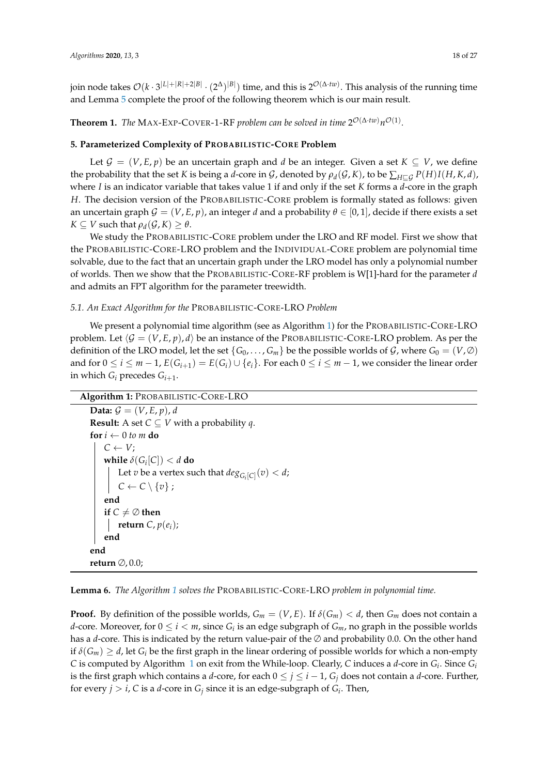join node takes  $\mathcal{O}(k\cdot3^{|L|+|R|+2|B|}\cdot(2^{\Delta})^{|B|})$  time, and this is  $2^{\mathcal{O}(\Delta\cdot tw)}.$  This analysis of the running time and Lemma 5 complete the proof of the following theorem which is our main result.

**Theorem 1.** *The* MAX-EXP-COVER-1-RF *problem can be solved in time*  $2^{\mathcal{O}(\Delta \cdot tw)} n^{\mathcal{O}(1)}$ *.* 

## **5. Parameterized Complexity of PROBABILISTIC-CORE Problem**

Let  $\mathcal{G} = (V, E, p)$  be an uncertain graph and *d* be an integer. Given a set  $K \subseteq V$ , we define the probability that the set *K* is being a *d*-core in G, denoted by  $\rho_d(G, K)$ , to be  $\sum_{H \sqsubseteq G} P(H)I(H, K, d)$ , where *I* is an indicator variable that takes value 1 if and only if the set *K* forms a *d*-core in the graph *H*. The decision version of the PROBABILISTIC-CORE problem is formally stated as follows: given an uncertain graph  $\mathcal{G} = (V, E, p)$ , an integer *d* and a probability  $\theta \in [0, 1]$ , decide if there exists a set  $K \subseteq V$  such that  $\rho_d(\mathcal{G}, K) \geq \theta$ .

We study the PROBABILISTIC-CORE problem under the LRO and RF model. First we show that the PROBABILISTIC-CORE-LRO problem and the INDIVIDUAL-CORE problem are polynomial time solvable, due to the fact that an uncertain graph under the LRO model has only a polynomial number of worlds. Then we show that the PROBABILISTIC-CORE-RF problem is W[1]-hard for the parameter *d* and admits an FPT algorithm for the parameter treewidth.

## *5.1. An Exact Algorithm for the* PROBABILISTIC-CORE-LRO *Problem*

We present a polynomial time algorithm (see as Algorithm 1) for the PROBABILISTIC-CORE-LRO problem. Let  $\langle G = (V, E, p), d \rangle$  be an instance of the PROBABILISTIC-CORE-LRO problem. As per the definition of the LRO model, let the set  $\{G_0, \ldots, G_m\}$  be the possible worlds of  $\mathcal G$ , where  $G_0 = (V, \emptyset)$ and for  $0 \le i \le m-1$ ,  $E(G_{i+1}) = E(G_i) \cup \{e_i\}$ . For each  $0 \le i \le m-1$ , we consider the linear order in which  $G_i$  precedes  $G_{i+1}$ .

```
Algorithm 1: PROBABILISTIC-CORE-LRO
 Data: \mathcal{G} = (V, E, p), d
Result: A set C \subseteq V with a probability q.
 for i \leftarrow 0 to m do
     C \leftarrow V;
     while \delta(G_i[C]) < d do
          Let v be a vertex such that deg_{G_i[C]}(v) < d;
          C \leftarrow C \setminus \{v\} ;
     end
     if C \neq \emptyset then
      return C, p(e_i);
     end
 end
 return ∅, 0.0;
```
**Lemma 6.** *The Algorithm 1 solves the* PROBABILISTIC-CORE-LRO *problem in polynomial time.*

**Proof.** By definition of the possible worlds,  $G_m = (V, E)$ . If  $\delta(G_m) < d$ , then  $G_m$  does not contain a *d*-core. Moreover, for  $0 \le i < m$ , since  $G_i$  is an edge subgraph of  $G_m$ , no graph in the possible worlds has a *d*-core. This is indicated by the return value-pair of the ∅ and probability 0.0. On the other hand if  $\delta(G_m) \geq d$ , let  $G_i$  be the first graph in the linear ordering of possible worlds for which a non-empty *C* is computed by Algorithm 1 on exit from the While-loop. Clearly, *C* induces a *d*-core in *G<sup>i</sup>* . Since *G<sup>i</sup>* is the first graph which contains a *d*-core, for each  $0 \le j \le i - 1$ ,  $G_j$  does not contain a *d*-core. Further, for every  $j > i$ , C is a *d*-core in  $G_j$  since it is an edge-subgraph of  $G_i$ . Then,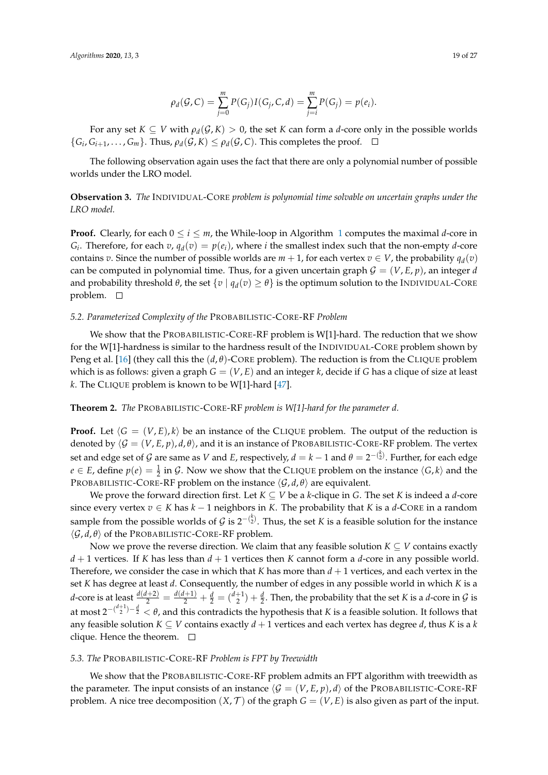$$
\rho_d(G, C) = \sum_{j=0}^m P(G_j)I(G_j, C, d) = \sum_{j=i}^m P(G_j) = p(e_i).
$$

For any set  $K \subseteq V$  with  $\rho_d(G, K) > 0$ , the set  $K$  can form a *d*-core only in the possible worlds  $\{G_i, G_{i+1}, \ldots, G_m\}$ . Thus,  $\rho_d(\mathcal{G}, K) \leq \rho_d(\mathcal{G}, C)$ . This completes the proof.

The following observation again uses the fact that there are only a polynomial number of possible worlds under the LRO model.

**Observation 3.** *The* INDIVIDUAL-CORE *problem is polynomial time solvable on uncertain graphs under the LRO model.*

**Proof.** Clearly, for each  $0 \le i \le m$ , the While-loop in Algorithm 1 computes the maximal *d*-core in  $G_i$ . Therefore, for each  $v$ ,  $q_d(v) = p(e_i)$ , where *i* the smallest index such that the non-empty *d*-core contains *v*. Since the number of possible worlds are  $m + 1$ , for each vertex  $v \in V$ , the probability  $q_d(v)$ can be computed in polynomial time. Thus, for a given uncertain graph  $G = (V, E, p)$ , an integer *d* and probability threshold  $\theta$ , the set  $\{v \mid q_d(v) \ge \theta\}$  is the optimum solution to the INDIVIDUAL-CORE problem.  $\square$ 

## *5.2. Parameterized Complexity of the* PROBABILISTIC-CORE-RF *Problem*

We show that the PROBABILISTIC-CORE-RF problem is W[1]-hard. The reduction that we show for the W[1]-hardness is similar to the hardness result of the INDIVIDUAL-CORE problem shown by Peng et al. [16] (they call this the (*d*, *θ*)-CORE problem). The reduction is from the CLIQUE problem which is as follows: given a graph  $G = (V, E)$  and an integer *k*, decide if *G* has a clique of size at least *k*. The CLIQUE problem is known to be W[1]-hard [47].

**Theorem 2.** *The* PROBABILISTIC-CORE-RF *problem is W[1]-hard for the parameter d.*

**Proof.** Let  $\zeta G = (V, E), k$  be an instance of the CLIQUE problem. The output of the reduction is denoted by  $\langle G = (V, E, p), d, \theta \rangle$ , and it is an instance of PROBABILISTIC-CORE-RF problem. The vertex set and edge set of  ${\cal G}$  are same as  $V$  and  $E$ , respectively,  $d=k-1$  and  $\theta=2^{-{k\choose 2}}.$  Further, for each edge  $e \in E$ , define  $p(e) = \frac{1}{2}$  in  $\mathcal{G}$ . Now we show that the CLIQUE problem on the instance  $\langle G, k \rangle$  and the PROBABILISTIC-CORE-RF problem on the instance  $\langle \mathcal{G}, d, \theta \rangle$  are equivalent.

We prove the forward direction first. Let  $K \subseteq V$  be a *k*-clique in *G*. The set *K* is indeed a *d*-core since every vertex *v* ∈ *K* has *k* − 1 neighbors in *K*. The probability that *K* is a *d*-CORE in a random sample from the possible worlds of  $\mathcal G$  is 2<sup>-( ${}^k_2$ </sup>). Thus, the set *K* is a feasible solution for the instance  $\langle \mathcal{G}, d, \theta \rangle$  of the PROBABILISTIC-CORE-RF problem.

Now we prove the reverse direction. We claim that any feasible solution  $K \subseteq V$  contains exactly *d* + 1 vertices. If *K* has less than *d* + 1 vertices then *K* cannot form a *d*-core in any possible world. Therefore, we consider the case in which that *K* has more than  $d + 1$  vertices, and each vertex in the set *K* has degree at least *d*. Consequently, the number of edges in any possible world in which *K* is a *d*-core is at least  $\frac{d(d+2)}{2} = \frac{d(d+1)}{2} + \frac{d}{2} = \binom{d+1}{2} + \frac{d}{2}$ . Then, the probability that the set *K* is a *d*-core in *G* is at most 2−( *d*+1 2 )− *<sup>d</sup>* <sup>2</sup> < *θ*, and this contradicts the hypothesis that *K* is a feasible solution. It follows that any feasible solution  $K \subseteq V$  contains exactly  $d+1$  vertices and each vertex has degree d, thus K is a k clique. Hence the theorem.  $\Box$ 

## *5.3. The* PROBABILISTIC-CORE-RF *Problem is FPT by Treewidth*

We show that the PROBABILISTIC-CORE-RF problem admits an FPT algorithm with treewidth as the parameter. The input consists of an instance  $\langle G = (V, E, p), d \rangle$  of the PROBABILISTIC-CORE-RF problem. A nice tree decomposition  $(X, \mathcal{T})$  of the graph  $G = (V, E)$  is also given as part of the input.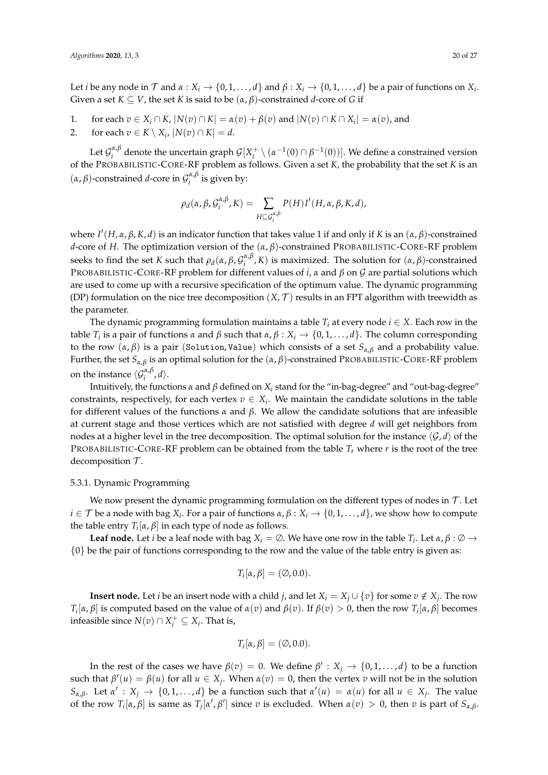Let *i* be any node in  $\mathcal T$  and  $\alpha: X_i \to \{0,1,\ldots,d\}$  and  $\beta: X_i \to \{0,1,\ldots,d\}$  be a pair of functions on  $X_i$ . Given a set  $K \subseteq V$ , the set *K* is said to be  $(\alpha, \beta)$ -constrained *d*-core of *G* if

1. for each  $v \in X_i \cap K$ ,  $|N(v) \cap K| = \alpha(v) + \beta(v)$  and  $|N(v) \cap K \cap X_i| = \alpha(v)$ , and

2. for each  $v \in K \setminus X_i$ ,  $|N(v) \cap K| = d$ .

Let  $\mathcal{G}_i^{\alpha,\beta}$  $\int_a^{\alpha,\beta}$  denote the uncertain graph  $\mathcal{G}[X_i^+\setminus(\alpha^{-1}(0)\cap\beta^{-1}(0))]$ . We define a constrained version of the PROBABILISTIC-CORE-RF problem as follows. Given a set *K*, the probability that the set *K* is an (*α*, *β*)-constrained *d*-core in G *α*,*β*  $\int_i^{\alpha,\rho}$  is given by:

$$
\rho_d(\alpha,\beta,\mathcal{G}_i^{\alpha,\beta},K)=\sum_{H\sqsubseteq\mathcal{G}_i^{\alpha,\beta}}P(H)I'(H,\alpha,\beta,K,d),
$$

where *I* ′ (*H*, *α*, *β*, *K*, *d*) is an indicator function that takes value 1 if and only if *K* is an (*α*, *β*)-constrained *d*-core of *H*. The optimization version of the (*α*, *β*)-constrained PROBABILISTIC-CORE-RF problem seeks to find the set *K* such that  $\rho_d(\alpha, \beta, \mathcal{G}_i^{\alpha, \beta})$  $\binom{a}{i}$ , *K*) is maximized. The solution for  $(α, β)$ -constrained PROBABILISTIC-CORE-RF problem for different values of *i*, *α* and *β* on G are partial solutions which are used to come up with a recursive specification of the optimum value. The dynamic programming (DP) formulation on the nice tree decomposition  $(X, \mathcal{T})$  results in an FPT algorithm with treewidth as the parameter.

The dynamic programming formulation maintains a table  $T_i$  at every node  $i \in X$ . Each row in the table  $T_i$  is a pair of functions *α* and *β* such that  $\alpha$ ,  $\beta$  :  $X_i \to \{0,1,\ldots,d\}$ . The column corresponding to the row (*α*, *β*) is a pair (Solution, Value) which consists of a set *Sα*,*<sup>β</sup>* and a probability value. Further, the set *Sα*,*<sup>β</sup>* is an optimal solution for the (*α*, *β*)-constrained PROBABILISTIC-CORE-RF problem on the instance  $\langle \mathcal{G}_i^{\alpha,\beta}, d \rangle$ .

Intuitively, the functions *α* and *β* defined on *X<sup>i</sup>* stand for the "in-bag-degree" and "out-bag-degree" constraints, respectively, for each vertex  $v \in X_i$ . We maintain the candidate solutions in the table for different values of the functions *α* and *β*. We allow the candidate solutions that are infeasible at current stage and those vertices which are not satisfied with degree *d* will get neighbors from nodes at a higher level in the tree decomposition. The optimal solution for the instance  $\langle \mathcal{G}, d \rangle$  of the PROBABILISTIC-CORE-RF problem can be obtained from the table  $T_r$  where  $r$  is the root of the tree decomposition  $\mathcal{T}$ .

#### 5.3.1. Dynamic Programming

We now present the dynamic programming formulation on the different types of nodes in  $\mathcal{T}$ . Let  $i\in\mathcal{T}$  be a node with bag  $X_i.$  For a pair of functions  $\alpha,\beta:X_i\to\{0,1,\ldots,d\},$  we show how to compute the table entry  $T_i[\alpha, \beta]$  in each type of node as follows.

**Leaf node.** Let *i* be a leaf node with bag  $X_i = \emptyset$ . We have one row in the table  $T_i$ . Let  $\alpha, \beta : \emptyset \to \emptyset$ {0} be the pair of functions corresponding to the row and the value of the table entry is given as:

$$
T_i[\alpha,\beta]=(\emptyset,0.0).
$$

**Insert node.** Let *i* be an insert node with a child *j*, and let  $X_i = X_j \cup \{v\}$  for some  $v \notin X_j$ . The row *T*<sub>*i*</sub></sub> $[α, β]$  is computed based on the value of  $α(v)$  and  $β(v)$ . If  $β(v) > 0$ , then the row *T*<sub>*i*</sub> $[α, β]$  becomes infeasible since  $N(v) \cap X_i^+ \subseteq X_i$ . That is,

$$
T_i[\alpha,\beta]=(\emptyset,0.0).
$$

In the rest of the cases we have  $\beta(v) = 0$ . We define  $\beta' : X_j \to \{0, 1, ..., d\}$  to be a function such that  $\beta'(u) = \beta(u)$  for all  $u \in X_j$ . When  $\alpha(v) = 0$ , then the vertex *v* will not be in the solution *S*<sub>*α*,β</sub>. Let *α*<sup> $\prime$ </sup> :  $X_j \rightarrow \{0, 1, ..., d\}$  be a function such that  $\alpha'(u) = \alpha(u)$  for all  $u \in X_j$ . The value of the row  $T_i[\alpha, \beta]$  is same as  $T_j[\alpha', \beta']$  since *v* is excluded. When  $\alpha(v) > 0$ , then *v* is part of  $S_{\alpha, \beta}$ .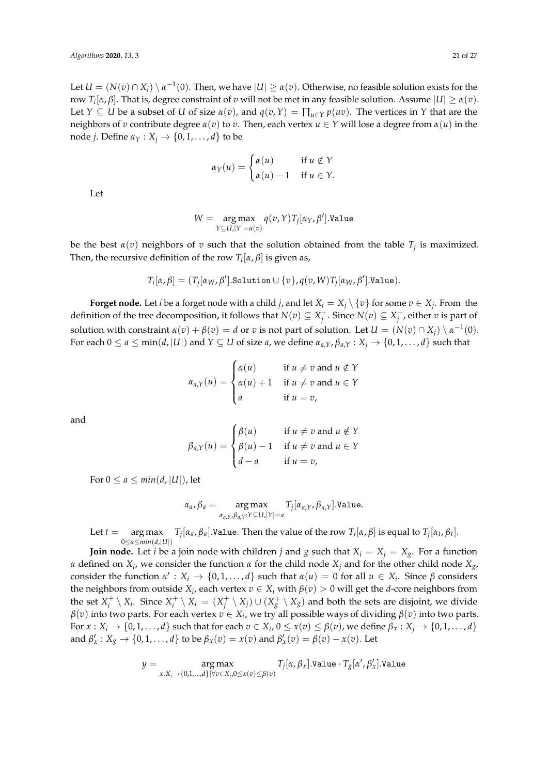Let  $U = (N(v) \cap X_i) \setminus \alpha^{-1}(0)$ . Then, we have  $|U| \ge \alpha(v)$ . Otherwise, no feasible solution exists for the row *T<sup>i</sup>* [*α*, *β*]. That is, degree constraint of *v* will not be met in any feasible solution. Assume |*U*| ≥ *α*(*v*). Let *Y*  $\subseteq$  *U* be a subset of *U* of size  $\alpha(v)$ , and  $q(v, Y) = \prod_{u \in Y} p(uv)$ . The vertices in *Y* that are the neighbors of *v* contribute degree  $\alpha(v)$  to *v*. Then, each vertex  $u \in Y$  will lose a degree from  $\alpha(u)$  in the node *j*. Define  $\alpha_Y : X_j \to \{0, 1, \ldots, d\}$  to be

$$
\alpha_Y(u) = \begin{cases} \alpha(u) & \text{if } u \notin Y \\ \alpha(u) - 1 & \text{if } u \in Y. \end{cases}
$$

Let

$$
W = \underset{Y \subseteq U, |Y| = \alpha(v)}{\arg \max} q(v, Y) T_j[\alpha_Y, \beta']
$$
.  
Value

be the best *α*(*v*) neighbors of *v* such that the solution obtained from the table *T<sup>j</sup>* is maximized. Then, the recursive definition of the row  $T_i[\alpha, \beta]$  is given as,

$$
T_i[\alpha,\beta]=(T_j[\alpha_W,\beta']. \text{Solution}\cup\{v\},q(v,W)T_j[\alpha_W,\beta']. \text{Value}).
$$

**Forget node.** Let *i* be a forget node with a child *j*, and let  $X_i = X_j \setminus \{v\}$  for some  $v \in X_j$ . From the definition of the tree decomposition, it follows that  $N(v) \subseteq X_j^+$ . Since  $N(v) \subseteq X_j^+$ , either *v* is part of solution with constraint  $\alpha(v) + \beta(v) = d$  or  $v$  is not part of solution. Let  $U = (N(v) \cap X_j) \setminus \alpha^{-1}(0)$ . For each  $0 \le a \le \min(d, |U|)$  and  $Y \subseteq U$  of size *a*, we define  $\alpha_{a,Y}, \beta_{a,Y} : X_i \to \{0,1,\ldots,d\}$  such that

$$
\alpha_{a,Y}(u) = \begin{cases} \alpha(u) & \text{if } u \neq v \text{ and } u \notin Y \\ \alpha(u) + 1 & \text{if } u \neq v \text{ and } u \in Y \\ a & \text{if } u = v, \end{cases}
$$

and

$$
\beta_{a,Y}(u) = \begin{cases} \beta(u) & \text{if } u \neq v \text{ and } u \notin Y \\ \beta(u) - 1 & \text{if } u \neq v \text{ and } u \in Y \\ d - a & \text{if } u = v, \end{cases}
$$

For  $0 \le a \le min(d, |U|)$ , let

$$
\alpha_a, \beta_a = \underset{\alpha_{a,Y}, \beta_{a,Y}: Y \subseteq U, |Y| = a}{\arg \max} T_j[\alpha_{a,Y}, \beta_{a,Y}].\text{Value}.
$$

Let  $t = \arg \max \quad T_j[\alpha_a, \beta_a]$ .Value. Then the value of the row  $T_i[\alpha, \beta]$  is equal to  $T_j[\alpha_t, \beta_t]$ . 0≤*a*≤*min*(*d*,|*U*|)

**Join node.** Let *i* be a join node with children *j* and *g* such that  $X_i = X_j = X_g$ . For a function *α* defined on *X<sup>i</sup>* , we consider the function *α* for the child node *X<sup>j</sup>* and for the other child node *Xg*, consider the function  $\alpha' : X_i \to \{0, 1, ..., d\}$  such that  $\alpha(u) = 0$  for all  $u \in X_i$ . Since  $\beta$  considers the neighbors from outside  $X_i$ , each vertex  $v \in X_i$  with  $\beta(v) > 0$  will get the *d*-core neighbors from the set  $X_i^+ \setminus X_i$ . Since  $X_i^+ \setminus X_i = (X_j^+ \setminus X_j) \cup (X_g^+ \setminus X_g)$  and both the sets are disjoint, we divide  $\beta(v)$  into two parts. For each vertex  $v \in X_i$ , we try all possible ways of dividing  $\beta(v)$  into two parts. For  $x:X_i\to\{0,1,\ldots,d\}$  such that for each  $v\in X_i$ ,  $0\leq x(v)\leq \beta(v)$ , we define  $\beta_x:X_j\to\{0,1,\ldots,d\}$ and  $\beta'_x : X_g \to \{0, 1, \ldots, d\}$  to be  $\beta_x(v) = x(v)$  and  $\beta'_x(v) = \beta(v) - x(v)$ . Let

$$
y = \mathop{\arg\max}_{x: X_i \to \{0,1,\ldots,d\} \,|\forall v \in X_i, 0 \leq x(v) \leq \beta(v)} T_j[\alpha,\beta_x].\text{Value} \cdot T_g[\alpha',\beta_x']. \text{Value}
$$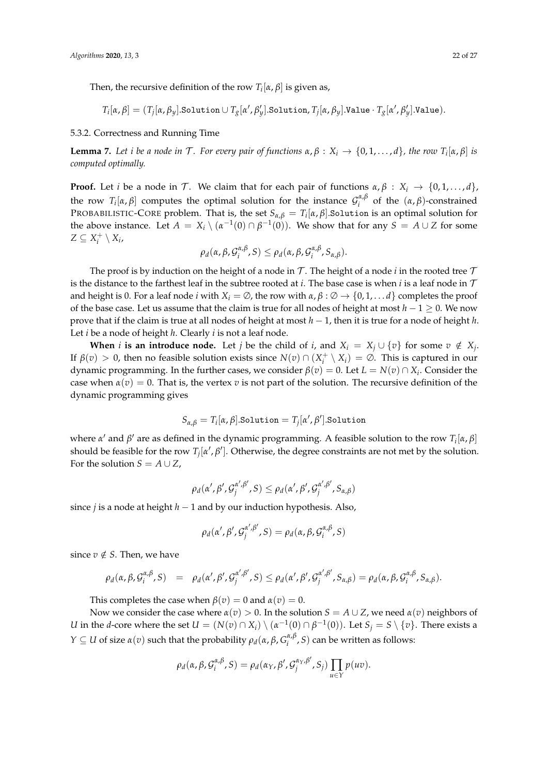Then, the recursive definition of the row  $T_i[\alpha, \beta]$  is given as,

$$
T_i[\alpha, \beta] = (T_j[\alpha, \beta_y]. \text{Solution} \cup T_g[\alpha', \beta'_y]. \text{Solution}, T_j[\alpha, \beta_y]. \text{Value} \cdot T_g[\alpha', \beta'_y]. \text{Value}.
$$

## 5.3.2. Correctness and Running Time

**Lemma 7.** Let *i* be a node in  $\mathcal{T}$ . For every pair of functions  $\alpha, \beta : X_i \to \{0, 1, \ldots, d\}$ , the row  $T_i[\alpha, \beta]$  is *computed optimally.*

**Proof.** Let *i* be a node in T. We claim that for each pair of functions  $\alpha, \beta : X_i \to \{0, 1, ..., d\}$ , the row  $T_i[\alpha, \beta]$  computes the optimal solution for the instance  $\mathcal{G}_i^{\alpha, \beta}$  $\int_{i}^{\alpha,\rho}$  of the  $(\alpha,\beta)$ -constrained PROBABILISTIC-CORE problem. That is, the set  $S_{\alpha,\beta} = T_i[\alpha,\beta]$ .Solution is an optimal solution for the above instance. Let  $A = X_i \setminus (\alpha^{-1}(0) \cap \beta^{-1}(0))$ . We show that for any  $S = A \cup Z$  for some  $Z \subseteq X_i^+ \setminus X_i$ 

$$
\rho_d(\alpha,\beta,\mathcal{G}_i^{\alpha,\beta},S) \leq \rho_d(\alpha,\beta,\mathcal{G}_i^{\alpha,\beta},S_{\alpha,\beta}).
$$

The proof is by induction on the height of a node in  $\mathcal T$ . The height of a node *i* in the rooted tree  $\mathcal T$ is the distance to the farthest leaf in the subtree rooted at *i*. The base case is when *i* is a leaf node in T and height is 0. For a leaf node *i* with  $X_i = \emptyset$ , the row with  $\alpha, \beta : \emptyset \to \{0, 1, \dots d\}$  completes the proof of the base case. Let us assume that the claim is true for all nodes of height at most *h* − 1 ≥ 0. We now prove that if the claim is true at all nodes of height at most *h* − 1, then it is true for a node of height *h*. Let *i* be a node of height *h*. Clearly *i* is not a leaf node.

**When** *i* **is an introduce node.** Let *j* be the child of *i*, and  $X_i = X_j \cup \{v\}$  for some  $v \notin X_j$ . If  $\beta(v) > 0$ , then no feasible solution exists since  $N(v) \cap (X_i^+ \setminus X_i) = \emptyset$ . This is captured in our dynamic programming. In the further cases, we consider  $\beta(v) = 0$ . Let  $L = N(v) \cap X_i$ . Consider the case when  $\alpha(v) = 0$ . That is, the vertex *v* is not part of the solution. The recursive definition of the dynamic programming gives

$$
S_{\alpha,\beta} = T_i[\alpha,\beta].
$$
Solution =  $T_j[\alpha',\beta']$ .  
Solution

where  $\alpha'$  and  $\beta'$  are as defined in the dynamic programming. A feasible solution to the row  $T_i[\alpha, \beta]$ should be feasible for the row  $T_j[\alpha',\beta']$ . Otherwise, the degree constraints are not met by the solution. For the solution *S* =  $A \cup Z$ ,

$$
\rho_d(\alpha', \beta', \mathcal{G}_j^{\alpha', \beta'}, S) \leq \rho_d(\alpha', \beta', \mathcal{G}_j^{\alpha', \beta'}, S_{\alpha, \beta})
$$

since *j* is a node at height *h* − 1 and by our induction hypothesis. Also,

$$
\rho_d(\alpha', \beta', \mathcal{G}_j^{\alpha', \beta'}, S) = \rho_d(\alpha, \beta, \mathcal{G}_i^{\alpha, \beta}, S)
$$

since  $v \notin S$ . Then, we have

$$
\rho_d(\alpha,\beta,\mathcal{G}_i^{\alpha,\beta},S) = \rho_d(\alpha',\beta',\mathcal{G}_j^{\alpha',\beta'},S) \leq \rho_d(\alpha',\beta',\mathcal{G}_j^{\alpha',\beta'},S_{\alpha,\beta}) = \rho_d(\alpha,\beta,\mathcal{G}_i^{\alpha,\beta},S_{\alpha,\beta}).
$$

This completes the case when  $\beta(v) = 0$  and  $\alpha(v) = 0$ .

Now we consider the case where  $\alpha(v) > 0$ . In the solution  $S = A \cup Z$ , we need  $\alpha(v)$  neighbors of *U* in the *d*-core where the set  $U = (N(v) \cap X_i) \setminus (\alpha^{-1}(0) \cap \beta^{-1}(0))$ . Let  $S_j = S \setminus \{v\}$ . There exists a *Y*  $\subseteq$  *U* of size *α*(*v*) such that the probability  $ρ_d(α, β, G_i^{α, β})$  $\binom{n}{i}$ , *S*) can be written as follows:

$$
\rho_d(\alpha,\beta,\mathcal{G}_i^{\alpha,\beta},S)=\rho_d(\alpha_Y,\beta',\mathcal{G}_j^{\alpha_Y,\beta'},S_j)\prod_{u\in Y}p(uv).
$$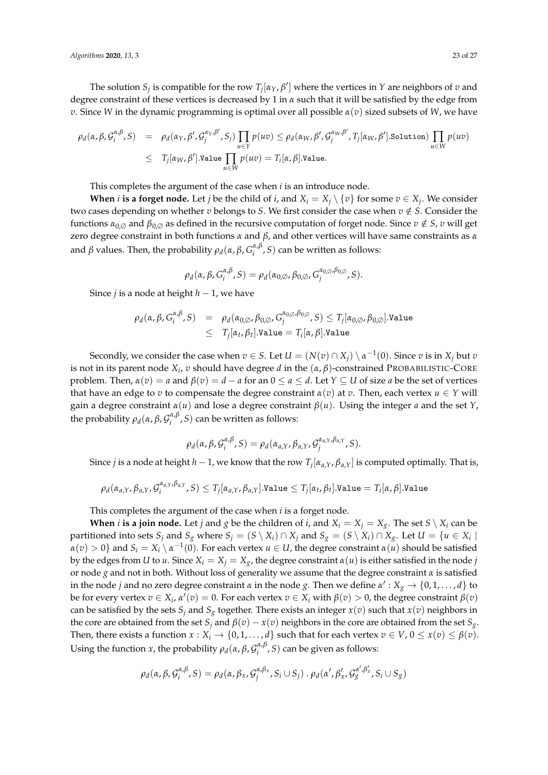The solution  $S_j$  is compatible for the row  $T_j[\alpha_Y, \beta']$  where the vertices in *Y* are neighbors of *v* and degree constraint of these vertices is decreased by 1 in *α* such that it will be satisfied by the edge from *v*. Since *W* in the dynamic programming is optimal over all possible *α*(*v*) sized subsets of *W*, we have

$$
\rho_d(\alpha, \beta, \mathcal{G}_i^{\alpha, \beta}, S) = \rho_d(\alpha_Y, \beta', \mathcal{G}_j^{\alpha_Y, \beta'}, S_j) \prod_{u \in Y} p(uv) \le \rho_d(\alpha_W, \beta', \mathcal{G}_j^{\alpha_W, \beta'}, T_j[\alpha_W, \beta'] \text{.Solution}) \prod_{u \in W} p(uv)
$$
  
 
$$
\leq T_j[\alpha_W, \beta'] \text{.Value} \prod_{u \in W} p(uv) = T_i[\alpha, \beta] \text{.Value.}
$$

This completes the argument of the case when *i* is an introduce node.

**When** *i* is a forget node. Let *j* be the child of *i*, and  $X_i = X_j \setminus \{v\}$  for some  $v \in X_j$ . We consider two cases depending on whether *v* belongs to *S*. We first consider the case when  $v \notin S$ . Consider the functions  $\alpha_{0,\emptyset}$  and  $\beta_{0,\emptyset}$  as defined in the recursive computation of forget node. Since  $v \notin S$ , *v* will get zero degree constraint in both functions *α* and *β*, and other vertices will have same constraints as *α* and  $\beta$  values. Then, the probability  $\rho_d(\alpha,\beta,G_i^{\alpha,\beta})$  $\binom{a}{i}$ , *S*) can be written as follows:

$$
\rho_d(\alpha,\beta,G_i^{\alpha,\beta},S)=\rho_d(\alpha_{0,\varnothing},\beta_{0,\varnothing},G_j^{\alpha_{0,\varnothing},\beta_{0,\varnothing}},S).
$$

Since *j* is a node at height *h* − 1, we have

$$
\rho_d(\alpha, \beta, G_i^{\alpha, \beta}, S) = \rho_d(\alpha_{0, \emptyset}, \beta_{0, \emptyset}, G_j^{\alpha_{0, \emptyset}, \beta_{0, \emptyset}}, S) \leq T_j[\alpha_{0, \emptyset}, \beta_{0, \emptyset}].\text{Value}
$$
  
 
$$
\leq T_j[\alpha_t, \beta_t].\text{Value} = T_i[\alpha, \beta].\text{Value}
$$

Secondly, we consider the case when  $v \in S$ . Let  $U = (N(v) \cap X_j) \setminus \alpha^{-1}(0)$ . Since  $v$  is in  $X_j$  but  $v$ is not in its parent node  $X_i$ ,  $v$  should have degree  $d$  in the  $(\alpha, \beta)$ -constrained PROBABILISTIC-CORE problem. Then,  $\alpha(v) = a$  and  $\beta(v) = d - a$  for an  $0 \le a \le d$ . Let  $Y \subseteq U$  of size *a* be the set of vertices that have an edge to *v* to compensate the degree constraint  $\alpha(v)$  at *v*. Then, each vertex  $u \in Y$  will gain a degree constraint *α*(*u*) and lose a degree constraint *β*(*u*). Using the integer *a* and the set *Y*, the probability  $\rho_d(\alpha, \beta, \mathcal{G}_i^{\alpha, \beta})$  $\binom{n}{i}$ , *S*) can be written as follows:

$$
\rho_d(\alpha,\beta,\mathcal{G}_i^{\alpha,\beta},S)=\rho_d(\alpha_{a,Y},\beta_{a,Y},\mathcal{G}_j^{\alpha_{a,Y},\beta_{a,Y}},S).
$$

Since *j* is a node at height *h* − 1, we know that the row  $T_j[\alpha_{a,Y},\beta_{a,Y}]$  is computed optimally. That is,

$$
\rho_d(\alpha_{a,Y},\beta_{a,Y},\mathcal{G}_i^{\alpha_{a,Y},\beta_{a,Y}},S) \leq T_j[\alpha_{a,Y},\beta_{a,Y}].\text{Value} \leq T_j[\alpha_t,\beta_t].\text{Value} = T_i[\alpha,\beta].\text{Value}
$$

This completes the argument of the case when *i* is a forget node.

**When** *i* **is a join node.** Let *j* and *g* be the children of *i*, and  $X_i = X_j = X_g$ . The set  $S \setminus X_i$  can be partitioned into sets  $S_j$  and  $S_g$  where  $S_j=(S\setminus X_i)\cap X_j$  and  $S_g=(S\setminus X_i)\cap X_g.$  Let  $U=\{u\in X_i\mid$  $a(v) > 0$ } and  $S_i = X_i \setminus a^{-1}(0)$ . For each vertex  $u \in U$ , the degree constraint  $a(u)$  should be satisfied by the edges from *U* to *u*. Since  $X_i = X_j = X_g$ , the degree constraint  $\alpha(u)$  is either satisfied in the node *j* or node *g* and not in both. Without loss of generality we assume that the degree constraint *α* is satisfied in the node *j* and no zero degree constraint  $\alpha$  in the node *g*. Then we define  $\alpha': X_g \to \{0, 1, \ldots, d\}$  to be for every vertex  $v \in X_i$ ,  $\alpha'(v) = 0$ . For each vertex  $v \in X_i$  with  $\beta(v) > 0$ , the degree constraint  $\beta(v)$ can be satisfied by the sets  $S_i$  and  $S_g$  together. There exists an integer  $x(v)$  such that  $x(v)$  neighbors in the core are obtained from the set  $S_i$  and  $\beta(v) - x(v)$  neighbors in the core are obtained from the set  $S_g$ . Then, there exists a function  $x : X_i \to \{0, 1, ..., d\}$  such that for each vertex  $v \in V$ ,  $0 \le x(v) \le \beta(v)$ . Using the function *x*, the probability  $\rho_d(\alpha, \beta, \mathcal{G}_i^{\alpha, \beta})$  $\binom{n}{i}$ , *S*) can be given as follows:

$$
\rho_d(\alpha,\beta,\mathcal{G}_i^{\alpha,\beta},S) = \rho_d(\alpha,\beta_x,\mathcal{G}_j^{\alpha,\beta_x},S_i \cup S_j) \cdot \rho_d(\alpha',\beta_x',\mathcal{G}_g^{\alpha',\beta_x'},S_i \cup S_g)
$$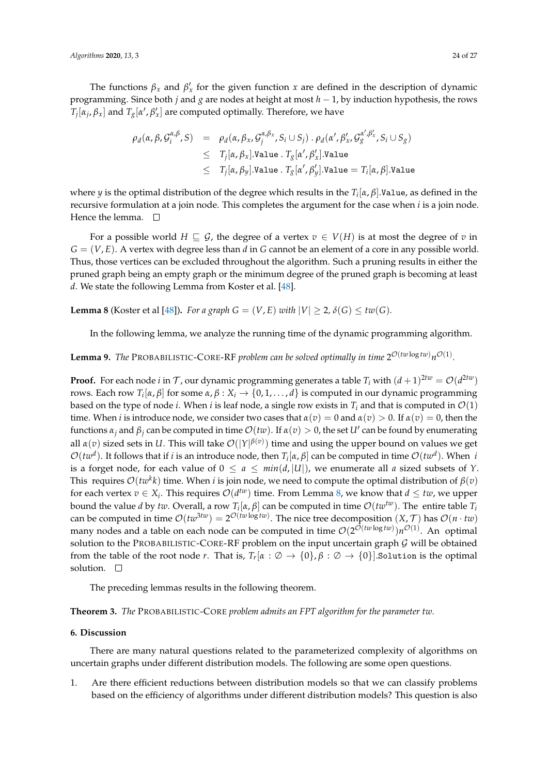The functions  $\beta_x$  and  $\beta'_x$  for the given function *x* are defined in the description of dynamic programming. Since both *j* and *g* are nodes at height at most *h* − 1, by induction hypothesis, the rows  $T_j$ [ $\alpha_j$ , $\beta_x$ ] and  $T_g$ [ $\alpha'$ , $\beta'_x$ ] are computed optimally. Therefore, we have

$$
\rho_d(\alpha, \beta, \mathcal{G}_i^{\alpha, \beta}, S) = \rho_d(\alpha, \beta_x, \mathcal{G}_j^{\alpha, \beta_x}, S_i \cup S_j) \cdot \rho_d(\alpha', \beta_x', \mathcal{G}_g^{\alpha', \beta_x'}, S_i \cup S_g)
$$
  
\n
$$
\leq T_j[\alpha, \beta_x]. \text{Value} \cdot T_g[\alpha', \beta_x']. \text{Value}
$$
  
\n
$$
\leq T_j[\alpha, \beta_y]. \text{Value} \cdot T_g[\alpha', \beta_y']. \text{Value} = T_i[\alpha, \beta]. \text{Value}
$$

where *y* is the optimal distribution of the degree which results in the *T<sup>i</sup>* [*α*, *β*].Value, as defined in the recursive formulation at a join node. This completes the argument for the case when *i* is a join node. Hence the lemma.  $\square$ 

For a possible world  $H \subseteq \mathcal{G}$ , the degree of a vertex  $v \in V(H)$  is at most the degree of v in *G* = (*V*, *E*). A vertex with degree less than *d* in *G* cannot be an element of a core in any possible world. Thus, those vertices can be excluded throughout the algorithm. Such a pruning results in either the pruned graph being an empty graph or the minimum degree of the pruned graph is becoming at least *d*. We state the following Lemma from Koster et al. [48].

**Lemma 8** (Koster et al [48]). *For a graph*  $G = (V, E)$  *with*  $|V| \geq 2$ ,  $\delta(G) \leq tw(G)$ .

In the following lemma, we analyze the running time of the dynamic programming algorithm.

**Lemma 9.** The PROBABILISTIC-CORE-RF problem can be solved optimally in time  $2^{\mathcal{O}(tw \log tw)} n^{\mathcal{O}(1)}$ .

**Proof.** For each node *i* in  $\mathcal{T}$ , our dynamic programming generates a table  $T_i$  with  $(d+1)^{2tw} = \mathcal{O}(d^{2tw})$ rows. Each row  $T_i[\alpha,\beta]$  for some  $\alpha,\beta:X_i\to\{0,1,\ldots,d\}$  is computed in our dynamic programming based on the type of node *i*. When *i* is leaf node, a single row exists in  $T_i$  and that is computed in  $\mathcal{O}(1)$ time. When *i* is introduce node, we consider two cases that  $\alpha(v) = 0$  and  $\alpha(v) > 0$ . If  $\alpha(v) = 0$ , then the functions  $\alpha_j$  and  $\beta_j$  can be computed in time  $\mathcal{O}(tw)$ . If  $\alpha(v) > 0$ , the set  $U'$  can be found by enumerating all  $\alpha(v)$  sized sets in  $U$ . This will take  $\mathcal{O}(|Y|^{\beta(v)})$  time and using the upper bound on values we get  $\mathcal{O}(tw^d)$ . It follows that if *i* is an introduce node, then  $T_i[\alpha,\beta]$  can be computed in time  $\mathcal{O}(tw^d)$ . When *i* is a forget node, for each value of  $0 \le a \le min(d, |U|)$ , we enumerate all *a* sized subsets of *Y*. This requires  $\mathcal{O}(t w^k k)$  time. When *i* is join node, we need to compute the optimal distribution of  $β(v)$ for each vertex  $v \in X_i$ . This requires  $\mathcal{O}(d^{tw})$  time. From Lemma 8, we know that  $d \leq tw$ , we upper bound the value *d* by *tw*. Overall, a row  $T_i[\alpha, \beta]$  can be computed in time  $\mathcal{O}(tw^{tw})$ . The entire table  $T_i$ can be computed in time  $\mathcal{O}(tw^{3tw}) = 2^{\mathcal{O}(tw \log tw)}$ . The nice tree decomposition  $(X, \mathcal{T})$  has  $\mathcal{O}(n \cdot tw)$ many nodes and a table on each node can be computed in time  $\mathcal{O}(2^{\mathcal{O}(tw \log tw)}) n^{\mathcal{O}(1)}$ . An optimal solution to the PROBABILISTIC-CORE-RF problem on the input uncertain graph  $G$  will be obtained from the table of the root node *r*. That is,  $T_r[\alpha: \emptyset \to \{0\}, \beta: \emptyset \to \{0\}]$ . Solution is the optimal solution.  $\square$ 

The preceding lemmas results in the following theorem.

**Theorem 3.** *The* PROBABILISTIC-CORE *problem admits an FPT algorithm for the parameter tw.*

## **6. Discussion**

There are many natural questions related to the parameterized complexity of algorithms on uncertain graphs under different distribution models. The following are some open questions.

1. Are there efficient reductions between distribution models so that we can classify problems based on the efficiency of algorithms under different distribution models? This question is also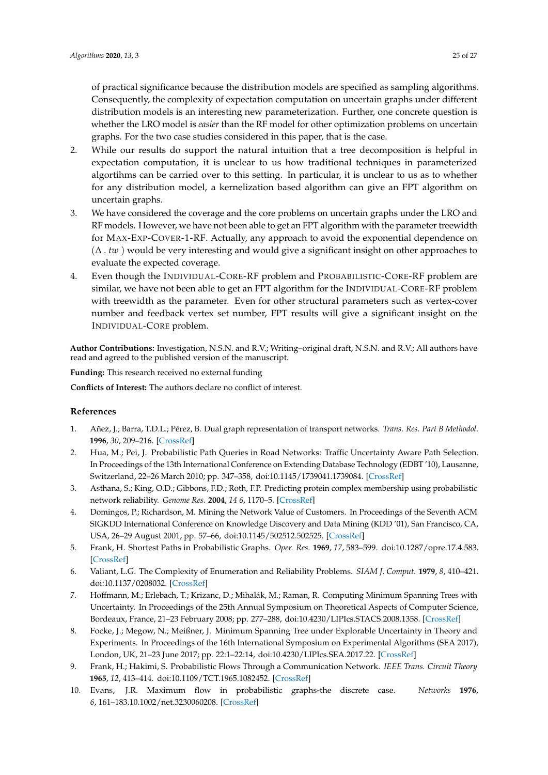- 2. While our results do support the natural intuition that a tree decomposition is helpful in expectation computation, it is unclear to us how traditional techniques in parameterized algortihms can be carried over to this setting. In particular, it is unclear to us as to whether for any distribution model, a kernelization based algorithm can give an FPT algorithm on uncertain graphs.
- 3. We have considered the coverage and the core problems on uncertain graphs under the LRO and RF models. However, we have not been able to get an FPT algorithm with the parameter treewidth for MAX-EXP-COVER-1-RF. Actually, any approach to avoid the exponential dependence on (∆ . *tw* ) would be very interesting and would give a significant insight on other approaches to evaluate the expected coverage.
- 4. Even though the INDIVIDUAL-CORE-RF problem and PROBABILISTIC-CORE-RF problem are similar, we have not been able to get an FPT algorithm for the INDIVIDUAL-CORE-RF problem with treewidth as the parameter. Even for other structural parameters such as vertex-cover number and feedback vertex set number, FPT results will give a significant insight on the INDIVIDUAL-CORE problem.

**Author Contributions:** Investigation, N.S.N. and R.V.; Writing–original draft, N.S.N. and R.V.; All authors have read and agreed to the published version of the manuscript.

**Funding:** This research received no external funding

**Conflicts of Interest:** The authors declare no conflict of interest.

## **References**

- 1. Añez, J.; Barra, T.D.L.; Pérez, B. Dual graph representation of transport networks. *Trans. Res. Part B Methodol.* **1996**, *30*, 209–216. [CrossRef]
- 2. Hua, M.; Pei, J. Probabilistic Path Queries in Road Networks: Traffic Uncertainty Aware Path Selection. In Proceedings of the 13th International Conference on Extending Database Technology (EDBT '10), Lausanne, Switzerland, 22–26 March 2010; pp. 347–358, doi:10.1145/1739041.1739084. [CrossRef]
- 3. Asthana, S.; King, O.D.; Gibbons, F.D.; Roth, F.P. Predicting protein complex membership using probabilistic network reliability. *Genome Res.* **2004**, *14 6*, 1170–5. [CrossRef]
- 4. Domingos, P.; Richardson, M. Mining the Network Value of Customers. In Proceedings of the Seventh ACM SIGKDD International Conference on Knowledge Discovery and Data Mining (KDD '01), San Francisco, CA, USA, 26–29 August 2001; pp. 57–66, doi:10.1145/502512.502525. [CrossRef]
- 5. Frank, H. Shortest Paths in Probabilistic Graphs. *Oper. Res.* **1969**, *17*, 583–599. doi:10.1287/opre.17.4.583. [CrossRef]
- 6. Valiant, L.G. The Complexity of Enumeration and Reliability Problems. *SIAM J. Comput.* **1979**, *8*, 410–421. doi:10.1137/0208032. [CrossRef]
- 7. Hoffmann, M.; Erlebach, T.; Krizanc, D.; Mihalák, M.; Raman, R. Computing Minimum Spanning Trees with Uncertainty. In Proceedings of the 25th Annual Symposium on Theoretical Aspects of Computer Science, Bordeaux, France, 21–23 February 2008; pp. 277–288, doi:10.4230/LIPIcs.STACS.2008.1358. [CrossRef]
- 8. Focke, J.; Megow, N.; Meißner, J. Minimum Spanning Tree under Explorable Uncertainty in Theory and Experiments. In Proceedings of the 16th International Symposium on Experimental Algorithms (SEA 2017), London, UK, 21–23 June 2017; pp. 22:1–22:14, doi:10.4230/LIPIcs.SEA.2017.22. [CrossRef]
- 9. Frank, H.; Hakimi, S. Probabilistic Flows Through a Communication Network. *IEEE Trans. Circuit Theory* **1965**, *12*, 413–414. doi:10.1109/TCT.1965.1082452. [CrossRef]
- 10. Evans, J.R. Maximum flow in probabilistic graphs-the discrete case. *Networks* **1976**, *6*, 161–183.10.1002/net.3230060208. [CrossRef]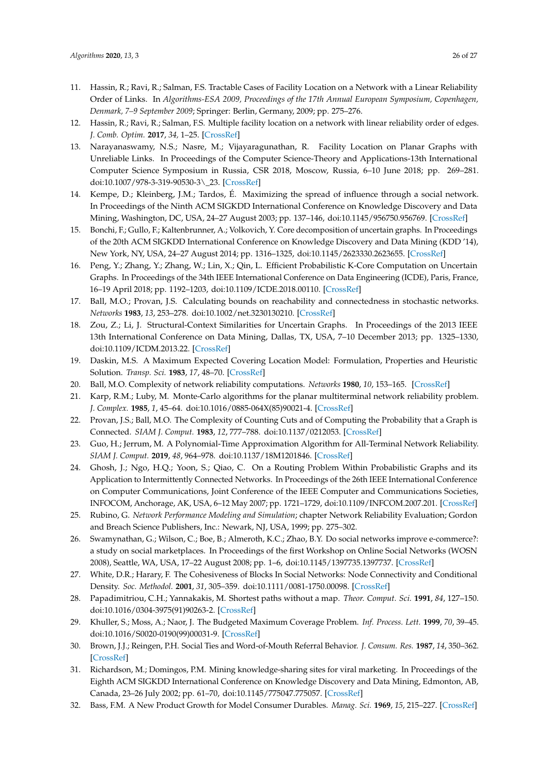- 11. Hassin, R.; Ravi, R.; Salman, F.S. Tractable Cases of Facility Location on a Network with a Linear Reliability Order of Links. In *Algorithms-ESA 2009, Proceedings of the 17th Annual European Symposium, Copenhagen, Denmark, 7–9 September 2009*; Springer: Berlin, Germany, 2009; pp. 275–276.
- 12. Hassin, R.; Ravi, R.; Salman, F.S. Multiple facility location on a network with linear reliability order of edges. *J. Comb. Optim.* **2017**, *34,* 1–25. [CrossRef]
- 13. Narayanaswamy, N.S.; Nasre, M.; Vijayaragunathan, R. Facility Location on Planar Graphs with Unreliable Links. In Proceedings of the Computer Science-Theory and Applications-13th International Computer Science Symposium in Russia, CSR 2018, Moscow, Russia, 6–10 June 2018; pp. 269–281. doi:10.1007/978-3-319-90530-3\\_23. [CrossRef]
- 14. Kempe, D.; Kleinberg, J.M.; Tardos, É. Maximizing the spread of influence through a social network. In Proceedings of the Ninth ACM SIGKDD International Conference on Knowledge Discovery and Data Mining, Washington, DC, USA, 24–27 August 2003; pp. 137–146, doi:10.1145/956750.956769. [CrossRef]
- 15. Bonchi, F.; Gullo, F.; Kaltenbrunner, A.; Volkovich, Y. Core decomposition of uncertain graphs. In Proceedings of the 20th ACM SIGKDD International Conference on Knowledge Discovery and Data Mining (KDD '14), New York, NY, USA, 24–27 August 2014; pp. 1316–1325, doi:10.1145/2623330.2623655. [CrossRef]
- 16. Peng, Y.; Zhang, Y.; Zhang, W.; Lin, X.; Qin, L. Efficient Probabilistic K-Core Computation on Uncertain Graphs. In Proceedings of the 34th IEEE International Conference on Data Engineering (ICDE), Paris, France, 16–19 April 2018; pp. 1192–1203, doi:10.1109/ICDE.2018.00110. [CrossRef]
- 17. Ball, M.O.; Provan, J.S. Calculating bounds on reachability and connectedness in stochastic networks. *Networks* **1983**, *13*, 253–278. doi:10.1002/net.3230130210. [CrossRef]
- 18. Zou, Z.; Li, J. Structural-Context Similarities for Uncertain Graphs. In Proceedings of the 2013 IEEE 13th International Conference on Data Mining, Dallas, TX, USA, 7–10 December 2013; pp. 1325–1330, doi:10.1109/ICDM.2013.22. [CrossRef]
- 19. Daskin, M.S. A Maximum Expected Covering Location Model: Formulation, Properties and Heuristic Solution. *Transp. Sci.* **1983**, *17*, 48–70. [CrossRef]
- 20. Ball, M.O. Complexity of network reliability computations. *Networks* **1980**, *10*, 153–165. [CrossRef]
- 21. Karp, R.M.; Luby, M. Monte-Carlo algorithms for the planar multiterminal network reliability problem. *J. Complex.* **1985**, *1*, 45–64. doi:10.1016/0885-064X(85)90021-4. [CrossRef]
- 22. Provan, J.S.; Ball, M.O. The Complexity of Counting Cuts and of Computing the Probability that a Graph is Connected. *SIAM J. Comput.* **1983**, *12*, 777–788. doi:10.1137/0212053. [CrossRef]
- 23. Guo, H.; Jerrum, M. A Polynomial-Time Approximation Algorithm for All-Terminal Network Reliability. *SIAM J. Comput.* **2019**, *48*, 964–978. doi:10.1137/18M1201846. [CrossRef]
- 24. Ghosh, J.; Ngo, H.Q.; Yoon, S.; Qiao, C. On a Routing Problem Within Probabilistic Graphs and its Application to Intermittently Connected Networks. In Proceedings of the 26th IEEE International Conference on Computer Communications, Joint Conference of the IEEE Computer and Communications Societies, INFOCOM, Anchorage, AK, USA, 6–12 May 2007; pp. 1721–1729, doi:10.1109/INFCOM.2007.201. [CrossRef]
- 25. Rubino, G. *Network Performance Modeling and Simulation*; chapter Network Reliability Evaluation; Gordon and Breach Science Publishers, Inc.: Newark, NJ, USA, 1999; pp. 275–302.
- 26. Swamynathan, G.; Wilson, C.; Boe, B.; Almeroth, K.C.; Zhao, B.Y. Do social networks improve e-commerce?: a study on social marketplaces. In Proceedings of the first Workshop on Online Social Networks (WOSN 2008), Seattle, WA, USA, 17–22 August 2008; pp. 1–6, doi:10.1145/1397735.1397737. [CrossRef]
- 27. White, D.R.; Harary, F. The Cohesiveness of Blocks In Social Networks: Node Connectivity and Conditional Density. *Soc. Methodol.* **2001**, *31*, 305–359. doi:10.1111/0081-1750.00098. [CrossRef]
- 28. Papadimitriou, C.H.; Yannakakis, M. Shortest paths without a map. *Theor. Comput. Sci.* **1991**, *84*, 127–150. doi:10.1016/0304-3975(91)90263-2. [CrossRef]
- 29. Khuller, S.; Moss, A.; Naor, J. The Budgeted Maximum Coverage Problem. *Inf. Process. Lett.* **1999**, *70*, 39–45. doi:10.1016/S0020-0190(99)00031-9. [CrossRef]
- 30. Brown, J.J.; Reingen, P.H. Social Ties and Word-of-Mouth Referral Behavior. *J. Consum. Res.* **1987**, *14*, 350–362. [CrossRef]
- 31. Richardson, M.; Domingos, P.M. Mining knowledge-sharing sites for viral marketing. In Proceedings of the Eighth ACM SIGKDD International Conference on Knowledge Discovery and Data Mining, Edmonton, AB, Canada, 23–26 July 2002; pp. 61–70, doi:10.1145/775047.775057. [CrossRef]
- 32. Bass, F.M. A New Product Growth for Model Consumer Durables. *Manag. Sci.* **1969**, *15*, 215–227. [CrossRef]